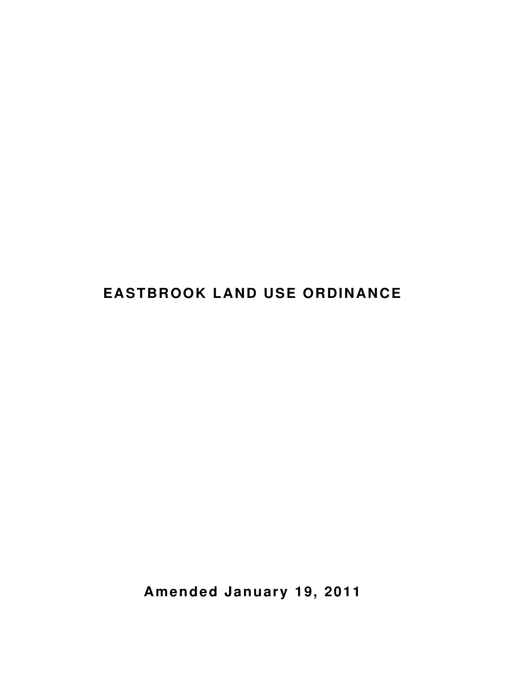# **EASTBROOK LAND USE ORDINANCE**

**Amended January 19, 2011**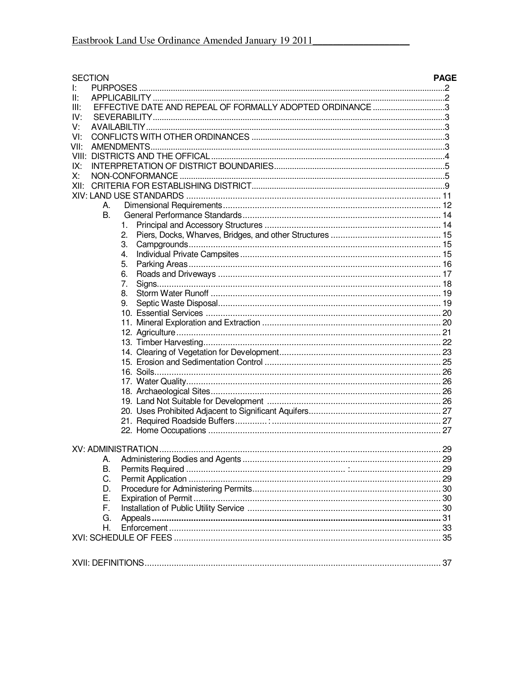| <b>SECTION</b>                                                    | <b>PAGE</b> |
|-------------------------------------------------------------------|-------------|
| Ŀ.                                                                |             |
| II:                                                               |             |
| EFFECTIVE DATE AND REPEAL OF FORMALLY ADOPTED ORDINANCE 3<br>III: |             |
| IV:                                                               |             |
| V.                                                                |             |
| VI:                                                               |             |
| VII:                                                              |             |
|                                                                   |             |
| IX:                                                               |             |
| X:                                                                |             |
| XII:                                                              |             |
|                                                                   |             |
| А.                                                                |             |
| В.                                                                |             |
| 1.                                                                |             |
| 2.                                                                |             |
| З.                                                                |             |
| 4.                                                                |             |
| 5.                                                                |             |
| 6.                                                                |             |
| 7.                                                                |             |
| 8.                                                                |             |
| 9.                                                                |             |
|                                                                   |             |
|                                                                   |             |
|                                                                   |             |
|                                                                   |             |
|                                                                   |             |
|                                                                   |             |
|                                                                   |             |
|                                                                   |             |
|                                                                   |             |
|                                                                   |             |
|                                                                   |             |
|                                                                   |             |
|                                                                   |             |
|                                                                   |             |
|                                                                   |             |
| А.                                                                |             |
| В.                                                                |             |
| C.                                                                |             |
| D.                                                                |             |
| Е.                                                                |             |
| F.                                                                |             |
| G.                                                                |             |
| Η.                                                                |             |
|                                                                   |             |
|                                                                   |             |
|                                                                   |             |
|                                                                   |             |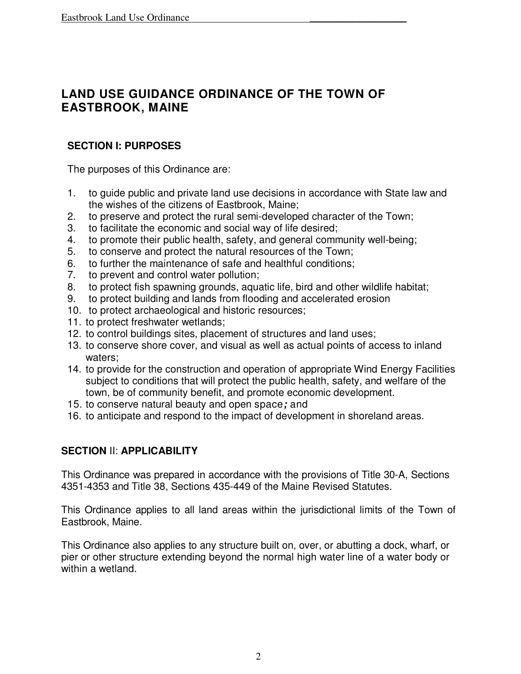# **LAND USE GUIDANCE ORDINANCE OF THE TOWN OF EASTBROOK, MAINE**

### **SECTION I: PURPOSES**

The purposes of this Ordinance are:

- 1. to guide public and private land use decisions in accordance with State law and the wishes of the citizens of Eastbrook, Maine;
- 2. to preserve and protect the rural semi-developed character of the Town;
- 3. to facilitate the economic and social way of life desired;
- 4. to promote their public health, safety, and general community well-being;
- 5. to conserve and protect the natural resources of the Town;
- 6. to further the maintenance of safe and healthful conditions;
- 7. to prevent and control water pollution;
- 8. to protect fish spawning grounds, aquatic life, bird and other wildlife habitat;
- 9. to protect building and lands from flooding and accelerated erosion
- 10. to protect archaeological and historic resources;
- 11. to protect freshwater wetlands;
- 12. to control buildings sites, placement of structures and land uses;
- 13. to conserve shore cover, and visual as well as actual points of access to inland waters;
- 14. to provide for the construction and operation of appropriate Wind Energy Facilities subject to conditions that will protect the public health, safety, and welfare of the town, be of community benefit, and promote economic development.
- 15. to conserve natural beauty and open space**;** and
- 16. to anticipate and respond to the impact of development in shoreland areas.

# **SECTION** II: **APPLICABILITY**

This Ordinance was prepared in accordance with the provisions of Title 30-A, Sections 4351-4353 and Title 38, Sections 435-449 of the Maine Revised Statutes.

This Ordinance applies to all land areas within the jurisdictional limits of the Town of Eastbrook, Maine.

This Ordinance also applies to any structure built on, over, or abutting a dock, wharf, or pier or other structure extending beyond the normal high water line of a water body or within a wetland.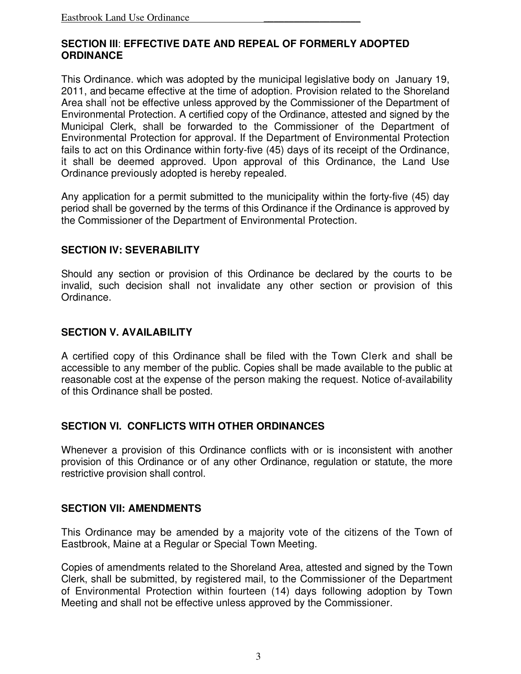#### **SECTION III**: **EFFECTIVE DATE AND REPEAL OF FORMERLY ADOPTED ORDINANCE**

This Ordinance. which was adopted by the municipal legislative body on January 19, 2011, and became effective at the time of adoption. Provision related to the Shoreland Area shall ' not be effective unless approved by the Commissioner of the Department of Environmental Protection. A certified copy of the Ordinance, attested and signed by the Municipal Clerk, shall be forwarded to the Commissioner of the Department of Environmental Protection for approval. If the Department of Environmental Protection fails to act on this Ordinance within forty-five (45) days of its receipt of the Ordinance, it shall be deemed approved. Upon approval of this Ordinance, the Land Use Ordinance previously adopted is hereby repealed.

Any application for a permit submitted to the municipality within the forty-five (45) day period shall be governed by the terms of this Ordinance if the Ordinance is approved by the Commissioner of the Department of Environmental Protection.

### **SECTION IV: SEVERABILITY**

Should any section or provision of this Ordinance be declared by the courts to be invalid, such decision shall not invalidate any other section or provision of this Ordinance.

#### **SECTION V. AVAILABILITY**

A certified copy of this Ordinance shall be filed with the Town Clerk and shall be accessible to any member of the public. Copies shall be made available to the public at reasonable cost at the expense of the person making the request. Notice of-availability of this Ordinance shall be posted.

### **SECTION VI. CONFLICTS WITH OTHER ORDINANCES**

Whenever a provision of this Ordinance conflicts with or is inconsistent with another provision of this Ordinance or of any other Ordinance, regulation or statute, the more restrictive provision shall control.

#### **SECTION VII: AMENDMENTS**

This Ordinance may be amended by a majority vote of the citizens of the Town of Eastbrook, Maine at a Regular or Special Town Meeting.

Copies of amendments related to the Shoreland Area, attested and signed by the Town Clerk, shall be submitted, by registered mail, to the Commissioner of the Department of Environmental Protection within fourteen (14) days following adoption by Town Meeting and shall not be effective unless approved by the Commissioner.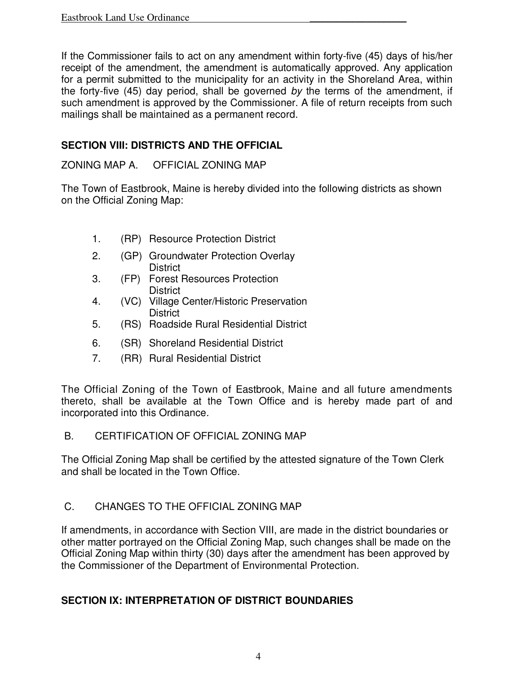If the Commissioner fails to act on any amendment within forty-five (45) days of his/her receipt of the amendment, the amendment is automatically approved. Any application for a permit submitted to the municipality for an activity in the Shoreland Area, within the forty-five (45) day period, shall be governed by the terms of the amendment, if such amendment is approved by the Commissioner. A file of return receipts from such mailings shall be maintained as a permanent record.

# **SECTION VIII: DISTRICTS AND THE OFFICIAL**

### ZONING MAP A. OFFICIAL ZONING MAP

The Town of Eastbrook, Maine is hereby divided into the following districts as shown on the Official Zoning Map:

- 1. (RP) Resource Protection District
- 2. (GP) Groundwater Protection Overlay **District**
- 3. (FP) Forest Resources Protection **District**
- 4. (VC) Village Center/Historic Preservation **District**
- 5. (RS) Roadside Rural Residential District
- 6. (SR) Shoreland Residential District
- 7. (RR) Rural Residential District

The Official Zoning of the Town of Eastbrook, Maine and all future amendments thereto, shall be available at the Town Office and is hereby made part of and incorporated into this Ordinance.

### B. CERTIFICATION OF OFFICIAL ZONING MAP

The Official Zoning Map shall be certified by the attested signature of the Town Clerk and shall be located in the Town Office.

# C. CHANGES TO THE OFFICIAL ZONING MAP

If amendments, in accordance with Section VIII, are made in the district boundaries or other matter portrayed on the Official Zoning Map, such changes shall be made on the Official Zoning Map within thirty (30) days after the amendment has been approved by the Commissioner of the Department of Environmental Protection.

# **SECTION IX: INTERPRETATION OF DISTRICT BOUNDARIES**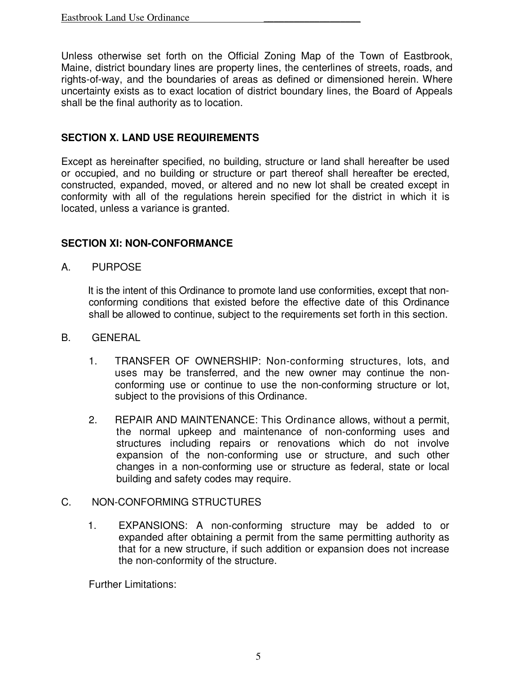Unless otherwise set forth on the Official Zoning Map of the Town of Eastbrook, Maine, district boundary lines are property lines, the centerlines of streets, roads, and rights-of-way, and the boundaries of areas as defined or dimensioned herein. Where uncertainty exists as to exact location of district boundary lines, the Board of Appeals shall be the final authority as to location.

### **SECTION X. LAND USE REQUIREMENTS**

Except as hereinafter specified, no building, structure or land shall hereafter be used or occupied, and no building or structure or part thereof shall hereafter be erected, constructed, expanded, moved, or altered and no new lot shall be created except in conformity with all of the regulations herein specified for the district in which it is located, unless a variance is granted.

### **SECTION XI: NON-CONFORMANCE**

A. PURPOSE

It is the intent of this Ordinance to promote land use conformities, except that nonconforming conditions that existed before the effective date of this Ordinance shall be allowed to continue, subject to the requirements set forth in this section.

- B. GENERAL
	- 1. TRANSFER OF OWNERSHIP: Non-conforming structures, lots, and uses may be transferred, and the new owner may continue the nonconforming use or continue to use the non-conforming structure or lot, subject to the provisions of this Ordinance.
	- 2. REPAIR AND MAINTENANCE: This Ordinance allows, without a permit, the normal upkeep and maintenance of non-conforming uses and structures including repairs or renovations which do not involve expansion of the non-conforming use or structure, and such other changes in a non-conforming use or structure as federal, state or local building and safety codes may require.
- C. NON-CONFORMING STRUCTURES
	- 1. EXPANSIONS: A non-conforming structure may be added to or expanded after obtaining a permit from the same permitting authority as that for a new structure, if such addition or expansion does not increase the non-conformity of the structure.

Further Limitations: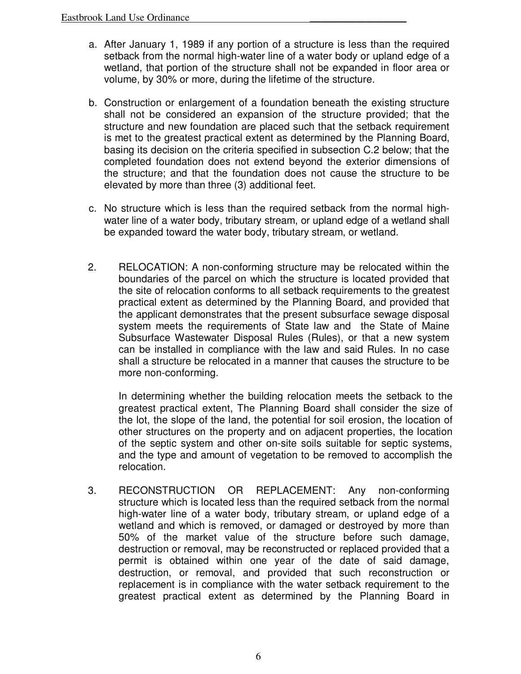- a. After January 1, 1989 if any portion of a structure is less than the required setback from the normal high-water line of a water body or upland edge of a wetland, that portion of the structure shall not be expanded in floor area or volume, by 30% or more, during the lifetime of the structure.
- b. Construction or enlargement of a foundation beneath the existing structure shall not be considered an expansion of the structure provided; that the structure and new foundation are placed such that the setback requirement is met to the greatest practical extent as determined by the Planning Board, basing its decision on the criteria specified in subsection C.2 below; that the completed foundation does not extend beyond the exterior dimensions of the structure; and that the foundation does not cause the structure to be elevated by more than three (3) additional feet.
- c. No structure which is less than the required setback from the normal highwater line of a water body, tributary stream, or upland edge of a wetland shall be expanded toward the water body, tributary stream, or wetland.
- 2. RELOCATION: A non-conforming structure may be relocated within the boundaries of the parcel on which the structure is located provided that the site of relocation conforms to all setback requirements to the greatest practical extent as determined by the Planning Board, and provided that the applicant demonstrates that the present subsurface sewage disposal system meets the requirements of State law and the State of Maine Subsurface Wastewater Disposal Rules (Rules), or that a new system can be installed in compliance with the law and said Rules. In no case shall a structure be relocated in a manner that causes the structure to be more non-conforming.

In determining whether the building relocation meets the setback to the greatest practical extent, The Planning Board shall consider the size of the lot, the slope of the land, the potential for soil erosion, the location of other structures on the property and on adjacent properties, the location of the septic system and other on-site soils suitable for septic systems, and the type and amount of vegetation to be removed to accomplish the relocation.

3. RECONSTRUCTION OR REPLACEMENT: Any non-conforming structure which is located less than the required setback from the normal high-water line of a water body, tributary stream, or upland edge of a wetland and which is removed, or damaged or destroyed by more than 50% of the market value of the structure before such damage, destruction or removal, may be reconstructed or replaced provided that a permit is obtained within one year of the date of said damage, destruction, or removal, and provided that such reconstruction or replacement is in compliance with the water setback requirement to the greatest practical extent as determined by the Planning Board in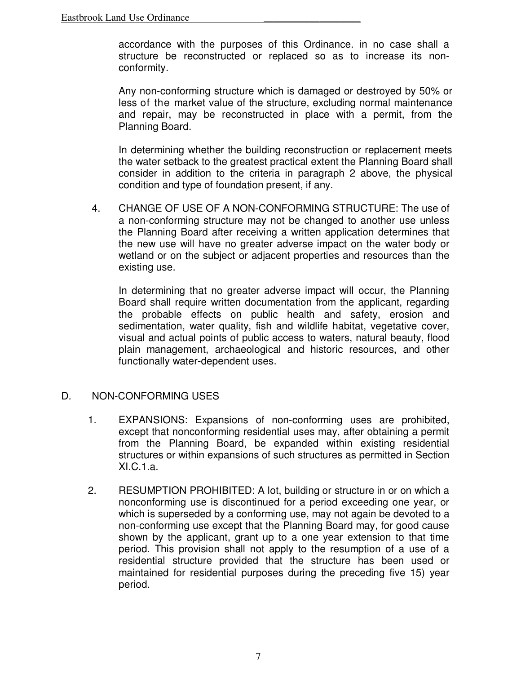accordance with the purposes of this Ordinance. in no case shall a structure be reconstructed or replaced so as to increase its nonconformity.

Any non-conforming structure which is damaged or destroyed by 50% or less of the market value of the structure, excluding normal maintenance and repair, may be reconstructed in place with a permit, from the Planning Board.

In determining whether the building reconstruction or replacement meets the water setback to the greatest practical extent the Planning Board shall consider in addition to the criteria in paragraph 2 above, the physical condition and type of foundation present, if any.

4. CHANGE OF USE OF A NON-CONFORMING STRUCTURE: The use of a non-conforming structure may not be changed to another use unless the Planning Board after receiving a written application determines that the new use will have no greater adverse impact on the water body or wetland or on the subject or adjacent properties and resources than the existing use.

In determining that no greater adverse impact will occur, the Planning Board shall require written documentation from the applicant, regarding the probable effects on public health and safety, erosion and sedimentation, water quality, fish and wildlife habitat, vegetative cover, visual and actual points of public access to waters, natural beauty, flood plain management, archaeological and historic resources, and other functionally water-dependent uses.

### D. NON-CONFORMING USES

- 1. EXPANSIONS: Expansions of non-conforming uses are prohibited, except that nonconforming residential uses may, after obtaining a permit from the Planning Board, be expanded within existing residential structures or within expansions of such structures as permitted in Section XI.C.1.a.
- 2. RESUMPTION PROHIBITED: A lot, building or structure in or on which a nonconforming use is discontinued for a period exceeding one year, or which is superseded by a conforming use, may not again be devoted to a non-conforming use except that the Planning Board may, for good cause shown by the applicant, grant up to a one year extension to that time period. This provision shall not apply to the resumption of a use of a residential structure provided that the structure has been used or maintained for residential purposes during the preceding five 15) year period.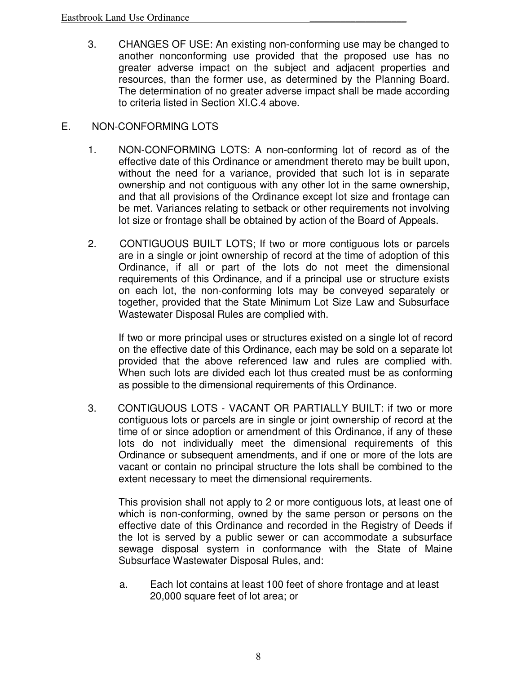3. CHANGES OF USE: An existing non-conforming use may be changed to another nonconforming use provided that the proposed use has no greater adverse impact on the subject and adjacent properties and resources, than the former use, as determined by the Planning Board. The determination of no greater adverse impact shall be made according to criteria listed in Section XI.C.4 above.

### E. NON-CONFORMING LOTS

- 1. NON-CONFORMING LOTS: A non-conforming lot of record as of the effective date of this Ordinance or amendment thereto may be built upon, without the need for a variance, provided that such lot is in separate ownership and not contiguous with any other lot in the same ownership, and that all provisions of the Ordinance except lot size and frontage can be met. Variances relating to setback or other requirements not involving lot size or frontage shall be obtained by action of the Board of Appeals.
- 2. CONTIGUOUS BUILT LOTS; If two or more contiguous lots or parcels are in a single or joint ownership of record at the time of adoption of this Ordinance, if all or part of the lots do not meet the dimensional requirements of this Ordinance, and if a principal use or structure exists on each lot, the non-conforming lots may be conveyed separately or together, provided that the State Minimum Lot Size Law and Subsurface Wastewater Disposal Rules are complied with.

If two or more principal uses or structures existed on a single lot of record on the effective date of this Ordinance, each may be sold on a separate lot provided that the above referenced law and rules are complied with. When such lots are divided each lot thus created must be as conforming as possible to the dimensional requirements of this Ordinance.

3. CONTIGUOUS LOTS - VACANT OR PARTIALLY BUILT: if two or more contiguous lots or parcels are in single or joint ownership of record at the time of or since adoption or amendment of this Ordinance, if any of these lots do not individually meet the dimensional requirements of this Ordinance or subsequent amendments, and if one or more of the lots are vacant or contain no principal structure the lots shall be combined to the extent necessary to meet the dimensional requirements.

This provision shall not apply to 2 or more contiguous lots, at least one of which is non-conforming, owned by the same person or persons on the effective date of this Ordinance and recorded in the Registry of Deeds if the lot is served by a public sewer or can accommodate a subsurface sewage disposal system in conformance with the State of Maine Subsurface Wastewater Disposal Rules, and:

a. Each lot contains at least 100 feet of shore frontage and at least 20,000 square feet of lot area; or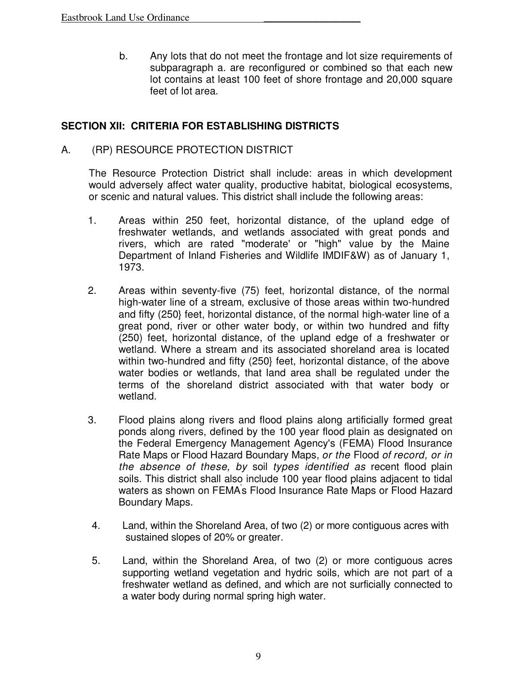b. Any lots that do not meet the frontage and lot size requirements of subparagraph a. are reconfigured or combined so that each new lot contains at least 100 feet of shore frontage and 20,000 square feet of lot area.

### **SECTION XII: CRITERIA FOR ESTABLISHING DISTRICTS**

A. (RP) RESOURCE PROTECTION DISTRICT

The Resource Protection District shall include: areas in which development would adversely affect water quality, productive habitat, biological ecosystems, or scenic and natural values. This district shall include the following areas:

- 1. Areas within 250 feet, horizontal distance, of the upland edge of freshwater wetlands, and wetlands associated with great ponds and rivers, which are rated "moderate' or "high" value by the Maine Department of Inland Fisheries and Wildlife IMDIF&W) as of January 1, 1973.
- 2. Areas within seventy-five (75) feet, horizontal distance, of the normal high-water line of a stream, exclusive of those areas within two-hundred and fifty (250} feet, horizontal distance, of the normal high-water line of a great pond, river or other water body, or within two hundred and fifty (250) feet, horizontal distance, of the upland edge of a freshwater or wetland. Where a stream and its associated shoreland area is located within two-hundred and fifty (250} feet, horizontal distance, of the above water bodies or wetlands, that land area shall be regulated under the terms of the shoreland district associated with that water body or wetland.
- 3. Flood plains along rivers and flood plains along artificially formed great ponds along rivers, defined by the 100 year flood plain as designated on the Federal Emergency Management Agency's (FEMA) Flood Insurance Rate Maps or Flood Hazard Boundary Maps, or the Flood of record, or in the absence of these, by soil types identified as recent flood plain soils. This district shall also include 100 year flood plains adjacent to tidal waters as shown on FEMA' s Flood Insurance Rate Maps or Flood Hazard Boundary Maps.
- 4. Land, within the Shoreland Area, of two (2) or more contiguous acres with sustained slopes of 20% or greater.
- 5. Land, within the Shoreland Area, of two (2) or more contiguous acres supporting wetland vegetation and hydric soils, which are not part of a freshwater wetland as defined, and which are not surficially connected to a water body during normal spring high water.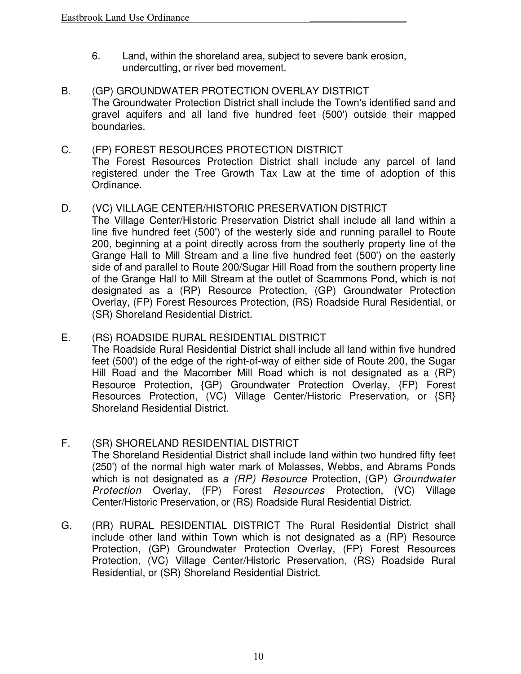- 6. Land, within the shoreland area, subject to severe bank erosion, undercutting, or river bed movement.
- B. (GP) GROUNDWATER PROTECTION OVERLAY DISTRICT The Groundwater Protection District shall include the Town's identified sand and gravel aquifers and all land five hundred feet (500') outside their mapped boundaries.
- C. (FP) FOREST RESOURCES PROTECTION DISTRICT The Forest Resources Protection District shall include any parcel of land registered under the Tree Growth Tax Law at the time of adoption of this Ordinance.

### D. (VC) VILLAGE CENTER/HISTORIC PRESERVATION DISTRICT

 The Village Center/Historic Preservation District shall include all land within a line five hundred feet (500') of the westerly side and running parallel to Route 200, beginning at a point directly across from the southerly property line of the Grange Hall to Mill Stream and a line five hundred feet (500') on the easterly side of and parallel to Route 200/Sugar Hill Road from the southern property line of the Grange Hall to Mill Stream at the outlet of Scammons Pond, which is not designated as a (RP) Resource Protection, (GP) Groundwater Protection Overlay, (FP) Forest Resources Protection, (RS) Roadside Rural Residential, or (SR) Shoreland Residential District.

- E. (RS) ROADSIDE RURAL RESIDENTIAL DISTRICT The Roadside Rural Residential District shall include all land within five hundred feet (500') of the edge of the right-of-way of either side of Route 200, the Sugar Hill Road and the Macomber Mill Road which is not designated as a (RP) Resource Protection, {GP) Groundwater Protection Overlay, {FP) Forest Resources Protection, (VC) Village Center/Historic Preservation, or {SR} Shoreland Residential District.
- F. (SR) SHORELAND RESIDENTIAL DISTRICT The Shoreland Residential District shall include land within two hundred fifty feet (250') of the normal high water mark of Molasses, Webbs, and Abrams Ponds which is not designated as a (RP) Resource Protection, (GP) Groundwater Protection Overlay, (FP) Forest Resources Protection, (VC) Village Center/Historic Preservation, or (RS) Roadside Rural Residential District.
- G. (RR) RURAL RESIDENTIAL DISTRICT The Rural Residential District shall include other land within Town which is not designated as a (RP) Resource Protection, (GP) Groundwater Protection Overlay, (FP) Forest Resources Protection, (VC) Village Center/Historic Preservation, (RS) Roadside Rural Residential, or (SR) Shoreland Residential District.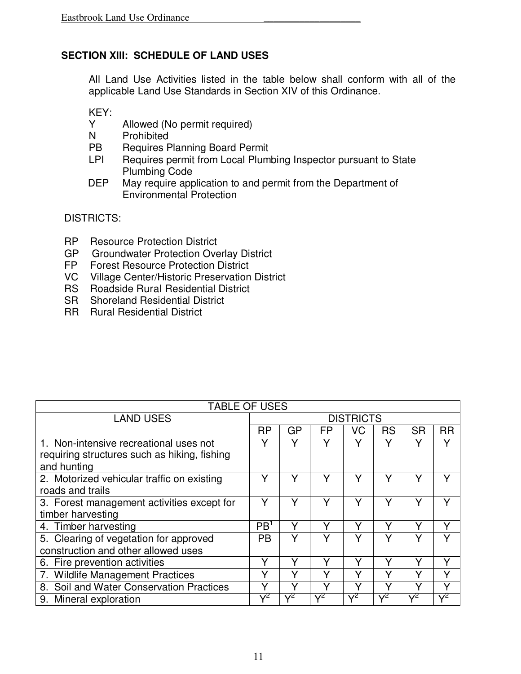### **SECTION XIII: SCHEDULE OF LAND USES**

All Land Use Activities listed in the table below shall conform with all of the applicable Land Use Standards in Section XIV of this Ordinance.

KEY:

- Y Allowed (No permit required)
- N Prohibited
- PB Requires Planning Board Permit
- LPI Requires permit from Local Plumbing Inspector pursuant to State Plumbing Code<br>DEP May require app
- May require application to and permit from the Department of Environmental Protection

DISTRICTS:

- RP Resource Protection District
- GP Groundwater Protection Overlay District<br>FP Forest Resource Protection District
- Forest Resource Protection District
- VC Village Center/Historic Preservation District
- RS Roadside Rural Residential District
- SR Shoreland Residential District
- RR Rural Residential District

| <b>TABLE OF USES</b>                         |                  |              |           |              |              |            |                |
|----------------------------------------------|------------------|--------------|-----------|--------------|--------------|------------|----------------|
| <b>LAND USES</b>                             | <b>DISTRICTS</b> |              |           |              |              |            |                |
|                                              | <b>RP</b>        | GP           | <b>FP</b> | VC           | <b>RS</b>    | <b>SR</b>  | <b>RR</b>      |
| 1. Non-intensive recreational uses not       |                  | v            |           | v            | v            |            |                |
| requiring structures such as hiking, fishing |                  |              |           |              |              |            |                |
| and hunting                                  |                  |              |           |              |              |            |                |
| 2. Motorized vehicular traffic on existing   | v                | $\checkmark$ |           |              | $\checkmark$ |            |                |
| roads and trails                             |                  |              |           |              |              |            |                |
| 3. Forest management activities except for   | v                | $\checkmark$ |           | v            | v            |            |                |
| timber harvesting                            |                  |              |           |              |              |            |                |
| 4. Timber harvesting                         | PB <sup>1</sup>  | $\checkmark$ |           | V            | v            |            | v              |
| 5. Clearing of vegetation for approved       | <b>PB</b>        | Y            |           |              |              |            |                |
| construction and other allowed uses          |                  |              |           |              |              |            |                |
| 6. Fire prevention activities                | Y                | v            | ✓         | v            | v            | v          | v              |
| 7. Wildlife Management Practices             | v                | $\checkmark$ | v         | $\checkmark$ | v            | v          | v              |
| 8. Soil and Water Conservation Practices     |                  |              |           |              |              |            |                |
| 9. Mineral exploration                       | $\mathcal{L}^2$  |              | $v^2$     | $v^2$        | $\sqrt{2}$   | $\sqrt{2}$ | $\mathsf{v}^2$ |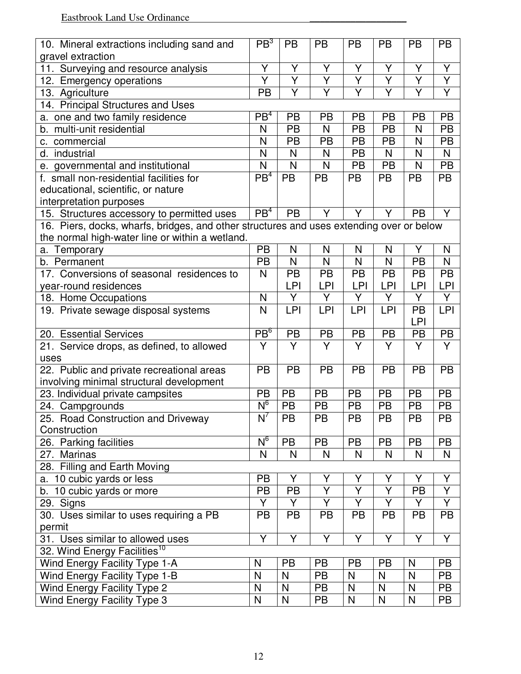| 10. Mineral extractions including sand and                                               | PB <sup>3</sup>         | <b>PB</b>               | <b>PB</b>               | <b>PB</b>               | <b>PB</b>      | <b>PB</b>               | <b>PB</b>      |
|------------------------------------------------------------------------------------------|-------------------------|-------------------------|-------------------------|-------------------------|----------------|-------------------------|----------------|
| gravel extraction                                                                        |                         |                         |                         |                         |                |                         |                |
| 11. Surveying and resource analysis                                                      | Υ                       | Υ                       | Υ                       | Υ                       | Υ              | Υ                       | Υ              |
| 12. Emergency operations                                                                 | $\overline{\mathsf{Y}}$ | $\overline{\mathsf{Y}}$ | $\overline{\mathsf{Y}}$ | $\overline{Y}$          | $\overline{Y}$ | $\overline{\mathsf{Y}}$ | $\overline{Y}$ |
| 13. Agriculture                                                                          | <b>PB</b>               | Y                       | Ÿ                       | $\overline{\mathsf{Y}}$ | Y              | Y                       | $\overline{Y}$ |
| 14. Principal Structures and Uses                                                        |                         |                         |                         |                         |                |                         |                |
| a. one and two family residence                                                          | PB <sup>4</sup>         | <b>PB</b>               | PB                      | PB                      | <b>PB</b>      | <b>PB</b>               | <b>PB</b>      |
| b. multi-unit residential                                                                | N                       | <b>PB</b>               | $\mathsf{N}$            | <b>PB</b>               | <b>PB</b>      | N                       | <b>PB</b>      |
| c. commercial                                                                            | N                       | <b>PB</b>               | <b>PB</b>               | <b>PB</b>               | <b>PB</b>      | N                       | <b>PB</b>      |
| d. industrial                                                                            | N                       | N                       | N                       | <b>PB</b>               | N              | N                       | N              |
| e. governmental and institutional                                                        | N                       | N                       | N                       | <b>PB</b>               | <b>PB</b>      | N                       | <b>PB</b>      |
| f. small non-residential facilities for                                                  | PB <sup>4</sup>         | PB                      | <b>PB</b>               | <b>PB</b>               | <b>PB</b>      | <b>PB</b>               | <b>PB</b>      |
| educational, scientific, or nature                                                       |                         |                         |                         |                         |                |                         |                |
| interpretation purposes                                                                  |                         |                         |                         |                         |                |                         |                |
| 15. Structures accessory to permitted uses                                               | PB <sup>4</sup>         | <b>PB</b>               | Y                       | Y                       | Y              | <b>PB</b>               | Y              |
| 16. Piers, docks, wharfs, bridges, and other structures and uses extending over or below |                         |                         |                         |                         |                |                         |                |
| the normal high-water line or within a wetland.                                          |                         |                         |                         |                         |                |                         |                |
| a. Temporary                                                                             | <b>PB</b>               | N                       | N                       | N                       | N              | Y                       | N              |
| b. Permanent                                                                             | <b>PB</b>               | $\mathsf{N}$            | $\mathsf{N}$            | N                       | N              | <b>PB</b>               | N              |
| 17. Conversions of seasonal residences to                                                | N                       | <b>PB</b>               | <b>PB</b>               | <b>PB</b>               | <b>PB</b>      | PB                      | <b>PB</b>      |
| year-round residences                                                                    |                         | <b>LPI</b>              | LPI                     | <b>LPI</b>              | LPI            | LPI                     | LPI            |
| 18. Home Occupations                                                                     | N                       | Y                       | Y                       | Y                       | Y              | Y                       | Y              |
| 19. Private sewage disposal systems                                                      | N                       | <b>LPI</b>              | <b>LPI</b>              | LPI                     | <b>LPI</b>     | <b>PB</b>               | <b>LPI</b>     |
|                                                                                          |                         |                         |                         |                         |                | <b>LPI</b>              |                |
| 20. Essential Services                                                                   | PB <sup>6</sup>         | PB                      | PB                      | <b>PB</b>               | <b>PB</b>      | <b>PB</b>               | <b>PB</b>      |
| 21. Service drops, as defined, to allowed                                                | Y                       | Y                       | Y                       | Y                       | Y              | Y                       | Y              |
| uses                                                                                     |                         |                         |                         |                         |                |                         |                |
| 22. Public and private recreational areas                                                | <b>PB</b>               | <b>PB</b>               | <b>PB</b>               | <b>PB</b>               | <b>PB</b>      | <b>PB</b>               | <b>PB</b>      |
| involving minimal structural development                                                 |                         |                         |                         |                         |                |                         |                |
| 23. Individual private campsites                                                         | <b>PB</b>               | <b>PB</b>               | <b>PB</b>               | PB                      | <b>PB</b>      | PB                      | <b>PB</b>      |
| 24. Campgrounds                                                                          | $N^6$                   | PB                      | <b>PB</b>               | PB                      | <b>PB</b>      | <b>PB</b>               | <b>PB</b>      |
| 25. Road Construction and Driveway                                                       | $N^7$                   | $\overline{PB}$         | PB                      | PB                      | PB             | PB                      | PB             |
| Construction                                                                             |                         |                         |                         |                         |                |                         |                |
| 26. Parking facilities                                                                   | $N^6$                   | <b>PB</b>               | <b>PB</b>               | <b>PB</b>               | <b>PB</b>      | <b>PB</b>               | <b>PB</b>      |
| 27. Marinas                                                                              | N                       | N                       | N                       | N                       | N              | N                       | N              |
| 28. Filling and Earth Moving                                                             |                         |                         |                         |                         |                |                         |                |
| a. 10 cubic yards or less                                                                | <b>PB</b>               | Y                       | Υ                       | Y                       | Υ              | Y                       | Υ              |
| b. 10 cubic yards or more                                                                | <b>PB</b>               | <b>PB</b>               | $\overline{\mathsf{Y}}$ | $\overline{Y}$          | $\overline{Y}$ | PB                      | $\overline{Y}$ |
|                                                                                          |                         |                         | Y                       | Y                       | Y              | Y                       | Y              |
| 29. Signs                                                                                | Y                       | Y                       |                         |                         |                |                         |                |
| 30. Uses similar to uses requiring a PB                                                  | <b>PB</b>               | <b>PB</b>               | PB                      | <b>PB</b>               | <b>PB</b>      | <b>PB</b>               | <b>PB</b>      |
| permit                                                                                   |                         |                         |                         |                         |                |                         |                |
| 31. Uses similar to allowed uses                                                         | Y                       | Y                       | Y                       | Y                       | Y              | Y                       | Y              |
| 32. Wind Energy Facilities <sup>10</sup>                                                 |                         |                         |                         |                         |                |                         |                |
| Wind Energy Facility Type 1-A                                                            | N                       | <b>PB</b>               | <b>PB</b>               | <b>PB</b>               | <b>PB</b>      | N                       | <b>PB</b>      |
| Wind Energy Facility Type 1-B                                                            | N                       | $\mathsf{N}$            | <b>PB</b>               | N                       | N              | $\mathsf{N}$            | <b>PB</b>      |
| Wind Energy Facility Type 2                                                              | N                       | ${\sf N}$               | <b>PB</b>               | $\mathsf{N}$            | $\mathsf{N}$   | ${\sf N}$               | PB             |
| Wind Energy Facility Type 3                                                              | $\mathsf{N}$            | $\mathsf{N}$            | PB                      | N                       | $\mathsf{N}$   | ${\sf N}$               | PB             |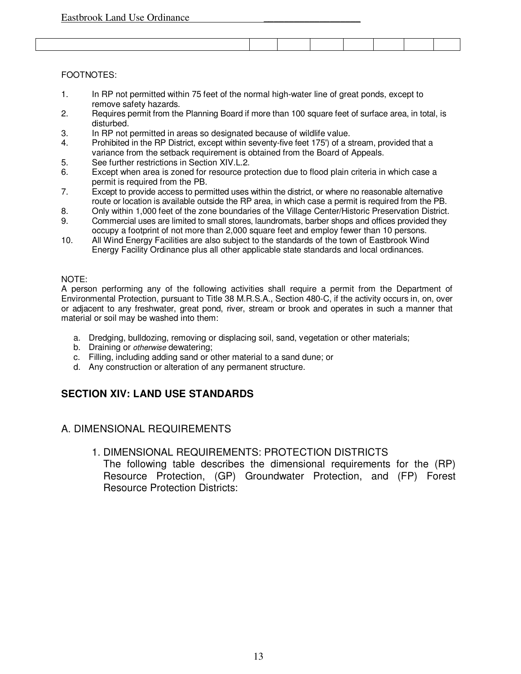#### FOOTNOTES:

- 1. In RP not permitted within 75 feet of the normal high-water line of great ponds, except to remove safety hazards.
- 2. Requires permit from the Planning Board if more than 100 square feet of surface area, in total, is disturbed.
- 3. In RP not permitted in areas so designated because of wildlife value.
- 4. Prohibited in the RP District, except within seventy-five feet 175') of a stream, provided that a variance from the setback requirement is obtained from the Board of Appeals.
- 5. See further restrictions in Section XIV.L.2.
- 6. Except when area is zoned for resource protection due to flood plain criteria in which case a permit is required from the PB.
- 7. Except to provide access to permitted uses within the district, or where no reasonable alternative route or location is available outside the RP area, in which case a permit is required from the PB.
- 8. Only within 1,000 feet of the zone boundaries of the Village Center/Historic Preservation District.
- 9. Commercial uses are limited to small stores, laundromats, barber shops and offices provided they occupy a footprint of not more than 2,000 square feet and employ fewer than 10 persons.
- 10. All Wind Energy Facilities are also subject to the standards of the town of Eastbrook Wind Energy Facility Ordinance plus all other applicable state standards and local ordinances.

#### NOTE:

A person performing any of the following activities shall require a permit from the Department of Environmental Protection, pursuant to Title 38 M.R.S.A., Section 480-C, if the activity occurs in, on, over or adjacent to any freshwater, great pond, river, stream or brook and operates in such a manner that material or soil may be washed into them:

- a. Dredging, bulldozing, removing or displacing soil, sand, vegetation or other materials;
- b. Draining or otherwise dewatering;
- c. Filling, including adding sand or other material to a sand dune; or
- d. Any construction or alteration of any permanent structure.

#### **SECTION XIV: LAND USE STANDARDS**

#### A. DIMENSIONAL REQUIREMENTS

#### 1. DIMENSIONAL REQUIREMENTS: PROTECTION DISTRICTS The following table describes the dimensional requirements for the (RP) Resource Protection, (GP) Groundwater Protection, and (FP) Forest Resource Protection Districts: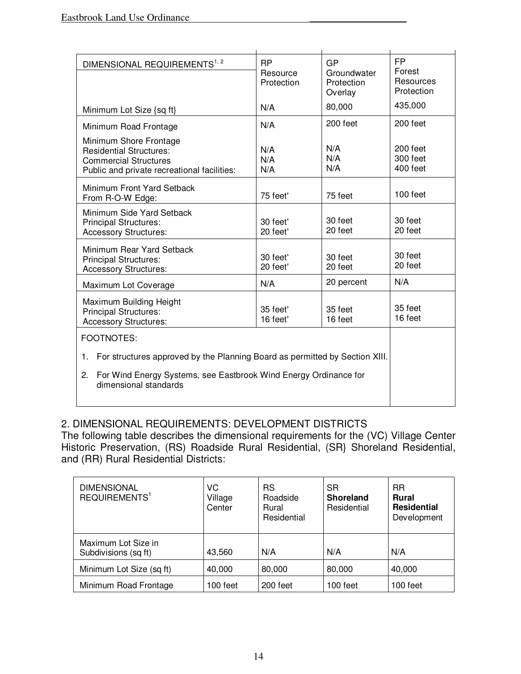| <b>RP</b><br>Resource<br>Protection                                                                                                                                                  | GP<br>Groundwater<br>Protection<br>Overlay | FP<br>Forest<br>Resources<br>Protection |
|--------------------------------------------------------------------------------------------------------------------------------------------------------------------------------------|--------------------------------------------|-----------------------------------------|
| N/A                                                                                                                                                                                  | 80,000                                     | 435,000                                 |
| N/A                                                                                                                                                                                  | 200 feet                                   | 200 feet                                |
| N/A<br>N/A<br>N/A                                                                                                                                                                    | N/A<br>N/A<br>N/A                          | 200 feet<br>300 feet<br>400 feet        |
| 75 feet'                                                                                                                                                                             | 75 feet                                    | 100 feet                                |
| 30 feet'<br>20 feet'                                                                                                                                                                 | 30 feet<br>20 feet                         | 30 feet<br>20 feet                      |
| 30 feet'<br>20 feet'                                                                                                                                                                 | 30 feet<br>20 feet                         | 30 feet<br>20 feet                      |
| N/A                                                                                                                                                                                  | 20 percent                                 | N/A                                     |
| 35 feet'<br>16 feet'                                                                                                                                                                 | 35 feet<br>16 feet                         | 35 feet<br>16 feet                      |
|                                                                                                                                                                                      |                                            |                                         |
| For structures approved by the Planning Board as permitted by Section XIII.<br>1.<br>For Wind Energy Systems, see Eastbrook Wind Energy Ordinance for<br>2.<br>dimensional standards |                                            |                                         |
|                                                                                                                                                                                      |                                            |                                         |

# 2. DIMENSIONAL REQUIREMENTS: DEVELOPMENT DISTRICTS

The following table describes the dimensional requirements for the (VC) Village Center Historic Preservation, (RS) Roadside Rural Residential, (SR} Shoreland Residential, and (RR) Rural Residential Districts:

| <b>DIMENSIONAL</b><br>REQUIREMENTS <sup>1</sup> | VC<br>Village<br>Center | <b>RS</b><br>Roadside<br>Rural<br>Residential | <b>SR</b><br><b>Shoreland</b><br>Residential | <b>RR</b><br><b>Rural</b><br><b>Residential</b><br>Development |
|-------------------------------------------------|-------------------------|-----------------------------------------------|----------------------------------------------|----------------------------------------------------------------|
| Maximum Lot Size in<br>Subdivisions (sq ft)     | 43,560                  | N/A                                           | N/A                                          | N/A                                                            |
| Minimum Lot Size (sq ft)                        | 40,000                  | 80,000                                        | 80,000                                       | 40,000                                                         |
| Minimum Road Frontage                           | ⊺00 feet                | 200 feet                                      | 100 feet                                     | 100 feet                                                       |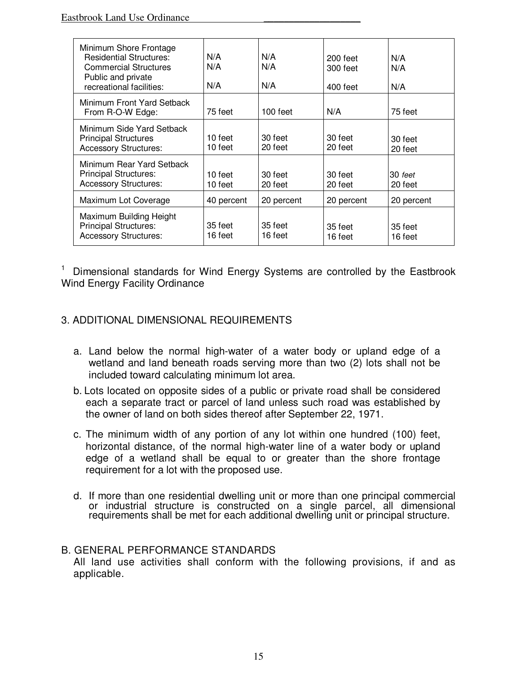| Minimum Shore Frontage<br><b>Residential Structures:</b><br><b>Commercial Structures</b><br>Public and private<br>recreational facilities: | N/A<br>N/A<br>N/A    | N/A<br>N/A<br>N/A  | 200 feet<br>300 feet<br>400 feet | N/A<br>N/A<br>N/A  |
|--------------------------------------------------------------------------------------------------------------------------------------------|----------------------|--------------------|----------------------------------|--------------------|
| Minimum Front Yard Setback<br>From R-O-W Edge:                                                                                             | 75 feet              | $100$ feet         | N/A                              | 75 feet            |
| Minimum Side Yard Setback<br><b>Principal Structures</b><br><b>Accessory Structures:</b>                                                   | $10$ feet<br>10 feet | 30 feet<br>20 feet | 30 feet<br>20 feet               | 30 feet<br>20 feet |
| Minimum Rear Yard Setback<br><b>Principal Structures:</b><br><b>Accessory Structures:</b>                                                  | 10 feet<br>10 feet   | 30 feet<br>20 feet | 30 feet<br>20 feet               | 30 feet<br>20 feet |
| Maximum Lot Coverage                                                                                                                       | 40 percent           | 20 percent         | 20 percent                       | 20 percent         |
| Maximum Building Height<br><b>Principal Structures:</b><br><b>Accessory Structures:</b>                                                    | 35 feet<br>16 feet   | 35 feet<br>16 feet | 35 feet<br>16 feet               | 35 feet<br>16 feet |

<sup>1</sup> Dimensional standards for Wind Energy Systems are controlled by the Eastbrook Wind Energy Facility Ordinance

### 3. ADDITIONAL DIMENSIONAL REQUIREMENTS

- a. Land below the normal high-water of a water body or upland edge of a wetland and land beneath roads serving more than two (2) lots shall not be included toward calculating minimum lot area.
- b. Lots located on opposite sides of a public or private road shall be considered each a separate tract or parcel of land unless such road was established by the owner of land on both sides thereof after September 22, 1971.
- c. The minimum width of any portion of any lot within one hundred (100) feet, horizontal distance, of the normal high-water line of a water body or upland edge of a wetland shall be equal to or greater than the shore frontage requirement for a lot with the proposed use.
- d. If more than one residential dwelling unit or more than one principal commercial or industrial structure is constructed on a single parcel, all dimensional requirements shall be met for each additional dwelling unit or principal structure.

#### B. GENERAL PERFORMANCE STANDARDS

All land use activities shall conform with the following provisions, if and as applicable.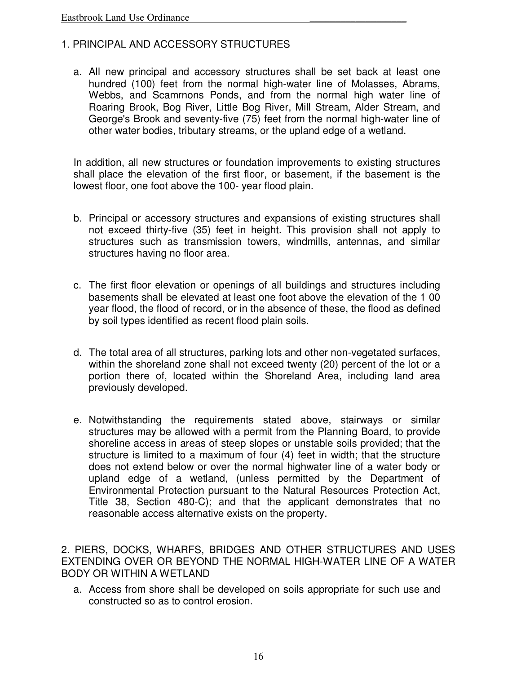### 1. PRINCIPAL AND ACCESSORY STRUCTURES

a. All new principal and accessory structures shall be set back at least one hundred (100) feet from the normal high-water line of Molasses, Abrams, Webbs, and Scamrnons Ponds, and from the normal high water line of Roaring Brook, Bog River, Little Bog River, Mill Stream, Alder Stream, and George's Brook and seventy-five (75) feet from the normal high-water line of other water bodies, tributary streams, or the upland edge of a wetland.

In addition, all new structures or foundation improvements to existing structures shall place the elevation of the first floor, or basement, if the basement is the lowest floor, one foot above the 100- year flood plain.

- b. Principal or accessory structures and expansions of existing structures shall not exceed thirty-five (35) feet in height. This provision shall not apply to structures such as transmission towers, windmills, antennas, and similar structures having no floor area.
- c. The first floor elevation or openings of all buildings and structures including basements shall be elevated at least one foot above the elevation of the 1 00 year flood, the flood of record, or in the absence of these, the flood as defined by soil types identified as recent flood plain soils.
- d. The total area of all structures, parking lots and other non-vegetated surfaces, within the shoreland zone shall not exceed twenty (20) percent of the lot or a portion there of, located within the Shoreland Area, including land area previously developed.
- e. Notwithstanding the requirements stated above, stairways or similar structures may be allowed with a permit from the Planning Board, to provide shoreline access in areas of steep slopes or unstable soils provided; that the structure is limited to a maximum of four (4) feet in width; that the structure does not extend below or over the normal highwater line of a water body or upland edge of a wetland, (unless permitted by the Department of Environmental Protection pursuant to the Natural Resources Protection Act, Title 38, Section 480-C); and that the applicant demonstrates that no reasonable access alternative exists on the property.

2. PIERS, DOCKS, WHARFS, BRIDGES AND OTHER STRUCTURES AND USES EXTENDING OVER OR BEYOND THE NORMAL HIGH-WATER LINE OF A WATER BODY OR WITHIN A WETLAND

a. Access from shore shall be developed on soils appropriate for such use and constructed so as to control erosion.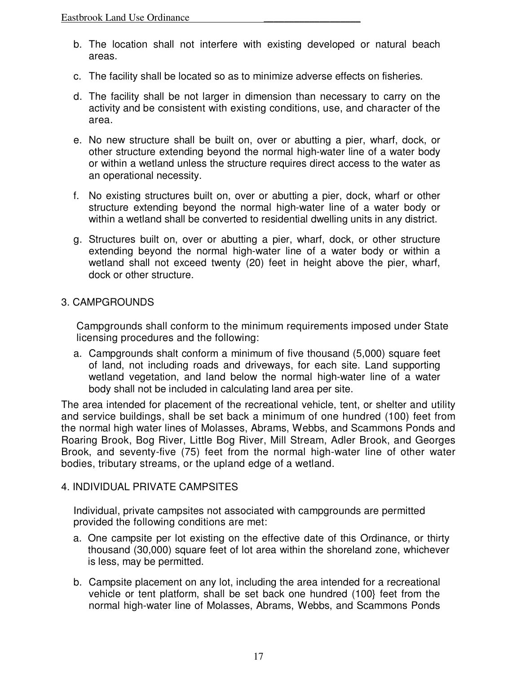- b. The location shall not interfere with existing developed or natural beach areas.
- c. The facility shall be located so as to minimize adverse effects on fisheries.
- d. The facility shall be not larger in dimension than necessary to carry on the activity and be consistent with existing conditions, use, and character of the area.
- e. No new structure shall be built on, over or abutting a pier, wharf, dock, or other structure extending beyond the normal high-water line of a water body or within a wetland unless the structure requires direct access to the water as an operational necessity.
- f. No existing structures built on, over or abutting a pier, dock, wharf or other structure extending beyond the normal high-water line of a water body or within a wetland shall be converted to residential dwelling units in any district.
- g. Structures built on, over or abutting a pier, wharf, dock, or other structure extending beyond the normal high-water line of a water body or within a wetland shall not exceed twenty (20) feet in height above the pier, wharf, dock or other structure.

#### 3. CAMPGROUNDS

Campgrounds shall conform to the minimum requirements imposed under State licensing procedures and the following:

a. Campgrounds shalt conform a minimum of five thousand (5,000) square feet of land, not including roads and driveways, for each site. Land supporting wetland vegetation, and land below the normal high-water line of a water body shall not be included in calculating land area per site.

The area intended for placement of the recreational vehicle, tent, or shelter and utility and service buildings, shall be set back a minimum of one hundred (100) feet from the normal high water lines of Molasses, Abrams, Webbs, and Scammons Ponds and Roaring Brook, Bog River, Little Bog River, Mill Stream, Adler Brook, and Georges Brook, and seventy-five (75) feet from the normal high-water line of other water bodies, tributary streams, or the upland edge of a wetland.

#### 4. INDIVIDUAL PRIVATE CAMPSITES

Individual, private campsites not associated with campgrounds are permitted provided the following conditions are met:

- a. One campsite per lot existing on the effective date of this Ordinance, or thirty thousand (30,000) square feet of lot area within the shoreland zone, whichever is less, may be permitted.
- b. Campsite placement on any lot, including the area intended for a recreational vehicle or tent platform, shall be set back one hundred (100} feet from the normal high-water line of Molasses, Abrams, Webbs, and Scammons Ponds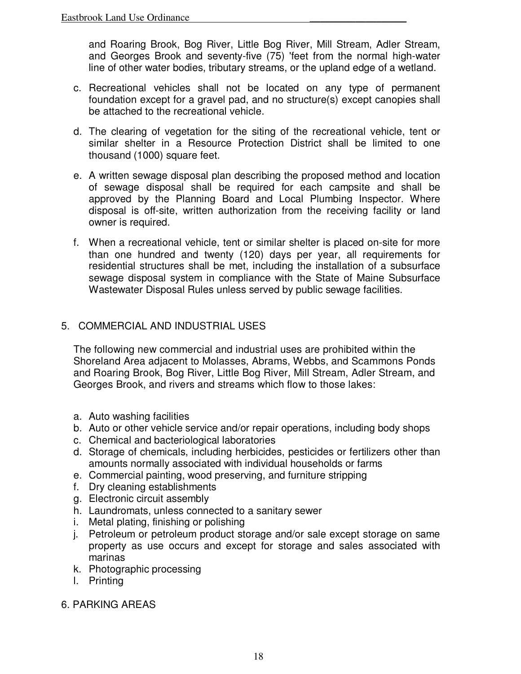and Roaring Brook, Bog River, Little Bog River, Mill Stream, Adler Stream, and Georges Brook and seventy-five (75) 'feet from the normal high-water line of other water bodies, tributary streams, or the upland edge of a wetland.

- c. Recreational vehicles shall not be located on any type of permanent foundation except for a gravel pad, and no structure(s) except canopies shall be attached to the recreational vehicle.
- d. The clearing of vegetation for the siting of the recreational vehicle, tent or similar shelter in a Resource Protection District shall be limited to one thousand (1000) square feet.
- e. A written sewage disposal plan describing the proposed method and location of sewage disposal shall be required for each campsite and shall be approved by the Planning Board and Local Plumbing Inspector. Where disposal is off-site, written authorization from the receiving facility or land owner is required.
- f. When a recreational vehicle, tent or similar shelter is placed on-site for more than one hundred and twenty (120) days per year, all requirements for residential structures shall be met, including the installation of a subsurface sewage disposal system in compliance with the State of Maine Subsurface Wastewater Disposal Rules unless served by public sewage facilities.

### 5. COMMERCIAL AND INDUSTRIAL USES

The following new commercial and industrial uses are prohibited within the Shoreland Area adjacent to Molasses, Abrams, Webbs, and Scammons Ponds and Roaring Brook, Bog River, Little Bog River, Mill Stream, Adler Stream, and Georges Brook, and rivers and streams which flow to those lakes:

- a. Auto washing facilities
- b. Auto or other vehicle service and/or repair operations, including body shops
- c. Chemical and bacteriological laboratories
- d. Storage of chemicals, including herbicides, pesticides or fertilizers other than amounts normally associated with individual households or farms
- e. Commercial painting, wood preserving, and furniture stripping
- f. Dry cleaning establishments
- g. Electronic circuit assembly
- h. Laundromats, unless connected to a sanitary sewer
- i. Metal plating, finishing or polishing
- j. Petroleum or petroleum product storage and/or sale except storage on same property as use occurs and except for storage and sales associated with marinas
- k. Photographic processing
- l. Printing

#### 6. PARKING AREAS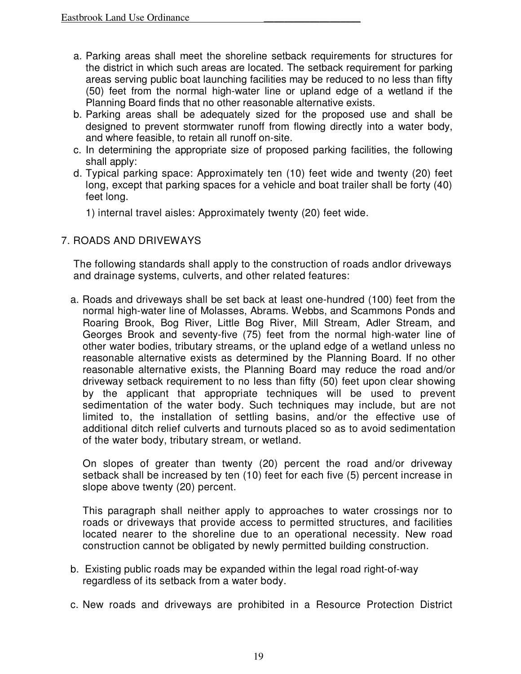- a. Parking areas shall meet the shoreline setback requirements for structures for the district in which such areas are located. The setback requirement for parking areas serving public boat launching facilities may be reduced to no less than fifty (50) feet from the normal high-water line or upland edge of a wetland if the Planning Board finds that no other reasonable alternative exists.
- b. Parking areas shall be adequately sized for the proposed use and shall be designed to prevent stormwater runoff from flowing directly into a water body, and where feasible, to retain all runoff on-site.
- c. In determining the appropriate size of proposed parking facilities, the following shall apply:
- d. Typical parking space: Approximately ten (10) feet wide and twenty (20) feet long, except that parking spaces for a vehicle and boat trailer shall be forty (40) feet long.
	- 1) internal travel aisles: Approximately twenty (20) feet wide.

# 7. ROADS AND DRIVEWAYS

The following standards shall apply to the construction of roads andlor driveways and drainage systems, culverts, and other related features:

a. Roads and driveways shall be set back at least one-hundred (100) feet from the normal high-water line of Molasses, Abrams. Webbs, and Scammons Ponds and Roaring Brook, Bog River, Little Bog River, Mill Stream, Adler Stream, and Georges Brook and seventy-five (75) feet from the normal high-water line of other water bodies, tributary streams, or the upland edge of a wetland unless no reasonable alternative exists as determined by the Planning Board. If no other reasonable alternative exists, the Planning Board may reduce the road and/or driveway setback requirement to no less than fifty (50) feet upon clear showing by the applicant that appropriate techniques will be used to prevent sedimentation of the water body. Such techniques may include, but are not limited to, the installation of settling basins, and/or the effective use of additional ditch relief culverts and turnouts placed so as to avoid sedimentation of the water body, tributary stream, or wetland.

On slopes of greater than twenty (20) percent the road and/or driveway setback shall be increased by ten (10) feet for each five (5) percent increase in slope above twenty (20) percent.

This paragraph shall neither apply to approaches to water crossings nor to roads or driveways that provide access to permitted structures, and facilities located nearer to the shoreline due to an operational necessity. New road construction cannot be obligated by newly permitted building construction.

- b. Existing public roads may be expanded within the legal road right-of-way regardless of its setback from a water body.
- c. New roads and driveways are prohibited in a Resource Protection District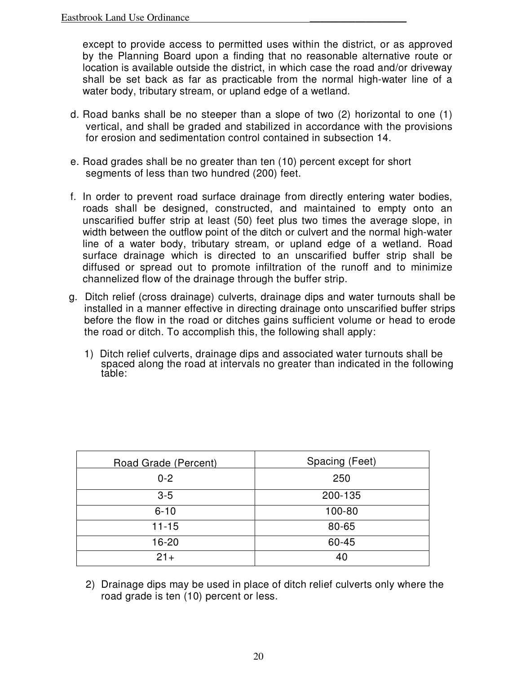except to provide access to permitted uses within the district, or as approved by the Planning Board upon a finding that no reasonable alternative route or location is available outside the district, in which case the road and/or driveway shall be set back as far as practicable from the normal high-water line of a water body, tributary stream, or upland edge of a wetland.

- d. Road banks shall be no steeper than a slope of two (2) horizontal to one (1) vertical, and shall be graded and stabilized in accordance with the provisions for erosion and sedimentation control contained in subsection 14.
- e. Road grades shall be no greater than ten (10) percent except for short segments of less than two hundred (200) feet.
- f. In order to prevent road surface drainage from directly entering water bodies, roads shall be designed, constructed, and maintained to empty onto an unscarified buffer strip at least (50) feet plus two times the average slope, in width between the outflow point of the ditch or culvert and the normal high-water line of a water body, tributary stream, or upland edge of a wetland. Road surface drainage which is directed to an unscarified buffer strip shall be diffused or spread out to promote infiltration of the runoff and to minimize channelized flow of the drainage through the buffer strip.
- g. Ditch relief (cross drainage) culverts, drainage dips and water turnouts shall be installed in a manner effective in directing drainage onto unscarified buffer strips before the flow in the road or ditches gains sufficient volume or head to erode the road or ditch. To accomplish this, the following shall apply:
	- 1) Ditch relief culverts, drainage dips and associated water turnouts shall be spaced along the road at intervals no greater than indicated in the following table:

| Road Grade (Percent) | Spacing (Feet) |
|----------------------|----------------|
| $0 - 2$              | 250            |
| $3 - 5$              | 200-135        |
| $6 - 10$             | 100-80         |
| $11 - 15$            | 80-65          |
| 16-20                | 60-45          |
| $21+$                | 40             |

2) Drainage dips may be used in place of ditch relief culverts only where the road grade is ten (10) percent or less.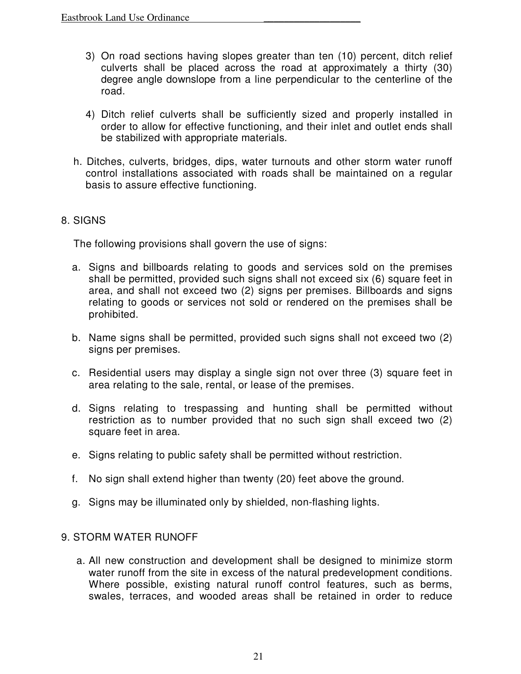- 3) On road sections having slopes greater than ten (10) percent, ditch relief culverts shall be placed across the road at approximately a thirty (30) degree angle downslope from a line perpendicular to the centerline of the road.
- 4) Ditch relief culverts shall be sufficiently sized and properly installed in order to allow for effective functioning, and their inlet and outlet ends shall be stabilized with appropriate materials.
- h. Ditches, culverts, bridges, dips, water turnouts and other storm water runoff control installations associated with roads shall be maintained on a regular basis to assure effective functioning.

### 8. SIGNS

The following provisions shall govern the use of signs:

- a. Signs and billboards relating to goods and services sold on the premises shall be permitted, provided such signs shall not exceed six (6) square feet in area, and shall not exceed two (2) signs per premises. Billboards and signs relating to goods or services not sold or rendered on the premises shall be prohibited.
- b. Name signs shall be permitted, provided such signs shall not exceed two (2) signs per premises.
- c. Residential users may display a single sign not over three (3) square feet in area relating to the sale, rental, or lease of the premises.
- d. Signs relating to trespassing and hunting shall be permitted without restriction as to number provided that no such sign shall exceed two (2) square feet in area.
- e. Signs relating to public safety shall be permitted without restriction.
- f. No sign shall extend higher than twenty (20) feet above the ground.
- g. Signs may be illuminated only by shielded, non-flashing lights.

### 9. STORM WATER RUNOFF

a. All new construction and development shall be designed to minimize storm water runoff from the site in excess of the natural predevelopment conditions. Where possible, existing natural runoff control features, such as berms, swales, terraces, and wooded areas shall be retained in order to reduce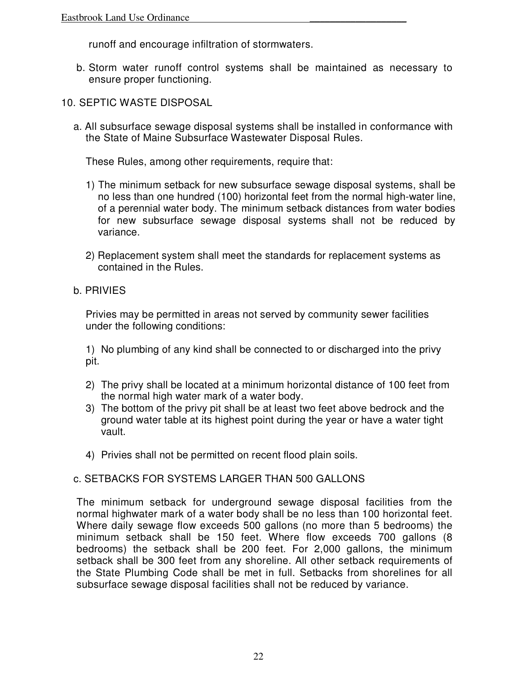runoff and encourage infiltration of stormwaters.

b. Storm water runoff control systems shall be maintained as necessary to ensure proper functioning.

### 10. SEPTIC WASTE DISPOSAL

a. All subsurface sewage disposal systems shall be installed in conformance with the State of Maine Subsurface Wastewater Disposal Rules.

These Rules, among other requirements, require that:

- 1) The minimum setback for new subsurface sewage disposal systems, shall be no less than one hundred (100) horizontal feet from the normal high-water line, of a perennial water body. The minimum setback distances from water bodies for new subsurface sewage disposal systems shall not be reduced by variance.
- 2) Replacement system shall meet the standards for replacement systems as contained in the Rules.

#### b. PRIVIES

Privies may be permitted in areas not served by community sewer facilities under the following conditions:

1) No plumbing of any kind shall be connected to or discharged into the privy pit.

- 2) The privy shall be located at a minimum horizontal distance of 100 feet from the normal high water mark of a water body.
- 3) The bottom of the privy pit shall be at least two feet above bedrock and the ground water table at its highest point during the year or have a water tight vault.
- 4) Privies shall not be permitted on recent flood plain soils.

#### c. SETBACKS FOR SYSTEMS LARGER THAN 500 GALLONS

The minimum setback for underground sewage disposal facilities from the normal highwater mark of a water body shall be no less than 100 horizontal feet. Where daily sewage flow exceeds 500 gallons (no more than 5 bedrooms) the minimum setback shall be 150 feet. Where flow exceeds 700 gallons (8 bedrooms) the setback shall be 200 feet. For 2,000 gallons, the minimum setback shall be 300 feet from any shoreline. All other setback requirements of the State Plumbing Code shall be met in full. Setbacks from shorelines for all subsurface sewage disposal facilities shall not be reduced by variance.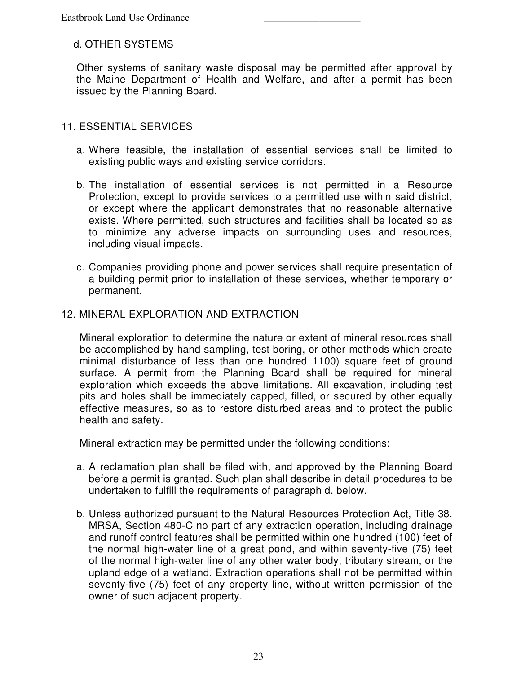### d. OTHER SYSTEMS

Other systems of sanitary waste disposal may be permitted after approval by the Maine Department of Health and Welfare, and after a permit has been issued by the Planning Board.

#### 11. ESSENTIAL SERVICES

- a. Where feasible, the installation of essential services shall be limited to existing public ways and existing service corridors.
- b. The installation of essential services is not permitted in a Resource Protection, except to provide services to a permitted use within said district, or except where the applicant demonstrates that no reasonable alternative exists. Where permitted, such structures and facilities shall be located so as to minimize any adverse impacts on surrounding uses and resources, including visual impacts.
- c. Companies providing phone and power services shall require presentation of a building permit prior to installation of these services, whether temporary or permanent.

#### 12. MINERAL EXPLORATION AND EXTRACTION

Mineral exploration to determine the nature or extent of mineral resources shall be accomplished by hand sampling, test boring, or other methods which create minimal disturbance of less than one hundred 1100) square feet of ground surface. A permit from the Planning Board shall be required for mineral exploration which exceeds the above limitations. All excavation, including test pits and holes shall be immediately capped, filled, or secured by other equally effective measures, so as to restore disturbed areas and to protect the public health and safety.

Mineral extraction may be permitted under the following conditions:

- a. A reclamation plan shall be filed with, and approved by the Planning Board before a permit is granted. Such plan shall describe in detail procedures to be undertaken to fulfill the requirements of paragraph d. below.
- b. Unless authorized pursuant to the Natural Resources Protection Act, Title 38. MRSA, Section 480-C no part of any extraction operation, including drainage and runoff control features shall be permitted within one hundred (100) feet of the normal high-water line of a great pond, and within seventy-five (75) feet of the normal high-water line of any other water body, tributary stream, or the upland edge of a wetland. Extraction operations shall not be permitted within seventy-five (75) feet of any property line, without written permission of the owner of such adjacent property.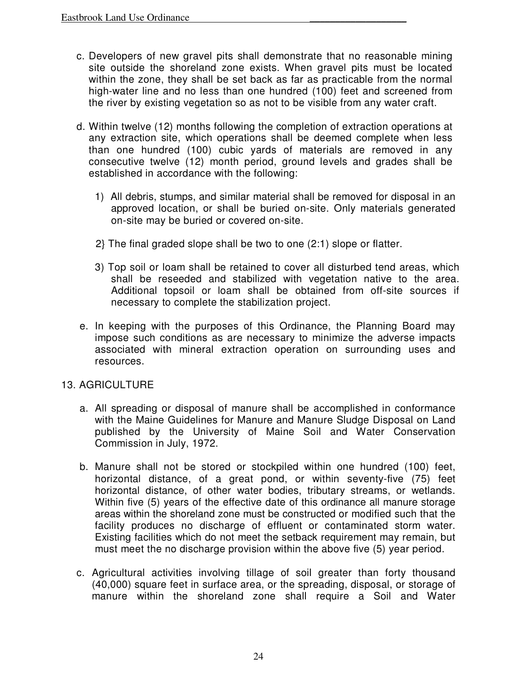- c. Developers of new gravel pits shall demonstrate that no reasonable mining site outside the shoreland zone exists. When gravel pits must be located within the zone, they shall be set back as far as practicable from the normal high-water line and no less than one hundred (100) feet and screened from the river by existing vegetation so as not to be visible from any water craft.
- d. Within twelve (12) months following the completion of extraction operations at any extraction site, which operations shall be deemed complete when less than one hundred (100) cubic yards of materials are removed in any consecutive twelve (12) month period, ground levels and grades shall be established in accordance with the following:
	- 1) All debris, stumps, and similar material shall be removed for disposal in an approved location, or shall be buried on-site. Only materials generated on-site may be buried or covered on-site.
	- 2} The final graded slope shall be two to one (2:1) slope or flatter.
	- 3) Top soil or loam shall be retained to cover all disturbed tend areas, which shall be reseeded and stabilized with vegetation native to the area. Additional topsoil or loam shall be obtained from off-site sources if necessary to complete the stabilization project.
- e. In keeping with the purposes of this Ordinance, the Planning Board may impose such conditions as are necessary to minimize the adverse impacts associated with mineral extraction operation on surrounding uses and resources.

#### 13. AGRICULTURE

- a. All spreading or disposal of manure shall be accomplished in conformance with the Maine Guidelines for Manure and Manure Sludge Disposal on Land published by the University of Maine Soil and Water Conservation Commission in July, 1972.
- b. Manure shall not be stored or stockpiled within one hundred (100) feet, horizontal distance, of a great pond, or within seventy-five (75) feet horizontal distance, of other water bodies, tributary streams, or wetlands. Within five (5) years of the effective date of this ordinance all manure storage areas within the shoreland zone must be constructed or modified such that the facility produces no discharge of effluent or contaminated storm water. Existing facilities which do not meet the setback requirement may remain, but must meet the no discharge provision within the above five (5) year period.
- c. Agricultural activities involving tillage of soil greater than forty thousand (40,000) square feet in surface area, or the spreading, disposal, or storage of manure within the shoreland zone shall require a Soil and Water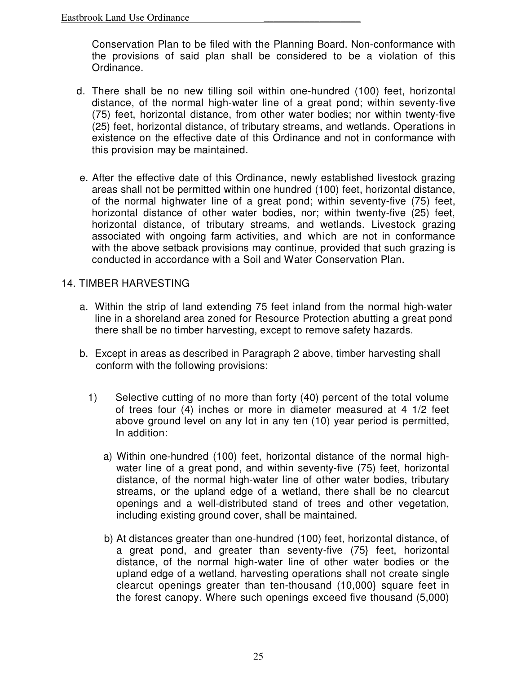Conservation Plan to be filed with the Planning Board. Non-conformance with the provisions of said plan shall be considered to be a violation of this Ordinance.

- d. There shall be no new tilling soil within one-hundred (100) feet, horizontal distance, of the normal high-water line of a great pond; within seventy-five (75) feet, horizontal distance, from other water bodies; nor within twenty-five (25) feet, horizontal distance, of tributary streams, and wetlands. Operations in existence on the effective date of this Ordinance and not in conformance with this provision may be maintained.
- e. After the effective date of this Ordinance, newly established livestock grazing areas shall not be permitted within one hundred (100) feet, horizontal distance, of the normal highwater line of a great pond; within seventy-five (75) feet, horizontal distance of other water bodies, nor; within twenty-five (25) feet, horizontal distance, of tributary streams, and wetlands. Livestock grazing associated with ongoing farm activities, and which are not in conformance with the above setback provisions may continue, provided that such grazing is conducted in accordance with a Soil and Water Conservation Plan.

#### 14. TIMBER HARVESTING

- a. Within the strip of land extending 75 feet inland from the normal high-water line in a shoreland area zoned for Resource Protection abutting a great pond there shall be no timber harvesting, except to remove safety hazards.
- b. Except in areas as described in Paragraph 2 above, timber harvesting shall conform with the following provisions:
	- 1) Selective cutting of no more than forty (40) percent of the total volume of trees four (4) inches or more in diameter measured at 4 1/2 feet above ground level on any lot in any ten (10) year period is permitted, In addition:
		- a) Within one-hundred (100) feet, horizontal distance of the normal highwater line of a great pond, and within seventy-five (75) feet, horizontal distance, of the normal high-water line of other water bodies, tributary streams, or the upland edge of a wetland, there shall be no clearcut openings and a well-distributed stand of trees and other vegetation, including existing ground cover, shall be maintained.
		- b) At distances greater than one-hundred (100) feet, horizontal distance, of a great pond, and greater than seventy-five (75} feet, horizontal distance, of the normal high-water line of other water bodies or the upland edge of a wetland, harvesting operations shall not create single clearcut openings greater than ten-thousand (10,000} square feet in the forest canopy. Where such openings exceed five thousand (5,000)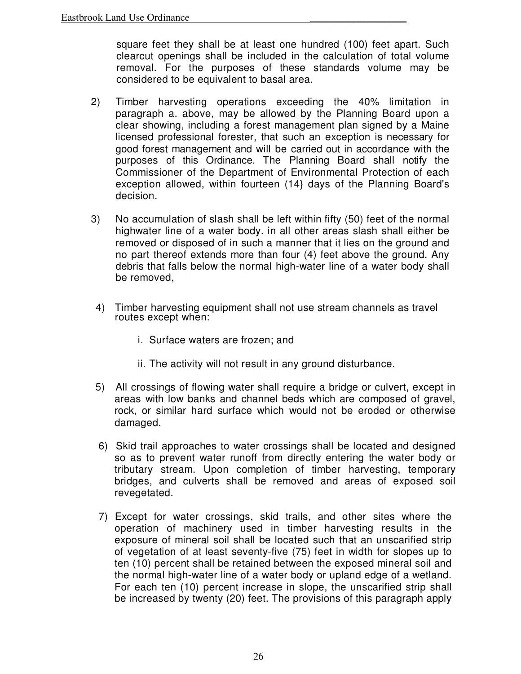square feet they shall be at least one hundred (100) feet apart. Such clearcut openings shall be included in the calculation of total volume removal. For the purposes of these standards volume may be considered to be equivalent to basal area.

- 2) Timber harvesting operations exceeding the 40% limitation in paragraph a. above, may be allowed by the Planning Board upon a clear showing, including a forest management plan signed by a Maine licensed professional forester, that such an exception is necessary for good forest management and will be carried out in accordance with the purposes of this Ordinance. The Planning Board shall notify the Commissioner of the Department of Environmental Protection of each exception allowed, within fourteen (14} days of the Planning Board's decision.
- 3) No accumulation of slash shall be left within fifty (50) feet of the normal highwater line of a water body. in all other areas slash shall either be removed or disposed of in such a manner that it lies on the ground and no part thereof extends more than four (4) feet above the ground. Any debris that falls below the normal high-water line of a water body shall be removed,
- 4) Timber harvesting equipment shall not use stream channels as travel routes except when:
	- i. Surface waters are frozen; and
	- ii. The activity will not result in any ground disturbance.
- 5) All crossings of flowing water shall require a bridge or culvert, except in areas with low banks and channel beds which are composed of gravel, rock, or similar hard surface which would not be eroded or otherwise damaged.
- 6) Skid trail approaches to water crossings shall be located and designed so as to prevent water runoff from directly entering the water body or tributary stream. Upon completion of timber harvesting, temporary bridges, and culverts shall be removed and areas of exposed soil revegetated.
- 7) Except for water crossings, skid trails, and other sites where the operation of machinery used in timber harvesting results in the exposure of mineral soil shall be located such that an unscarified strip of vegetation of at least seventy-five (75) feet in width for slopes up to ten (10) percent shall be retained between the exposed mineral soil and the normal high-water line of a water body or upland edge of a wetland. For each ten (10) percent increase in slope, the unscarified strip shall be increased by twenty (20) feet. The provisions of this paragraph apply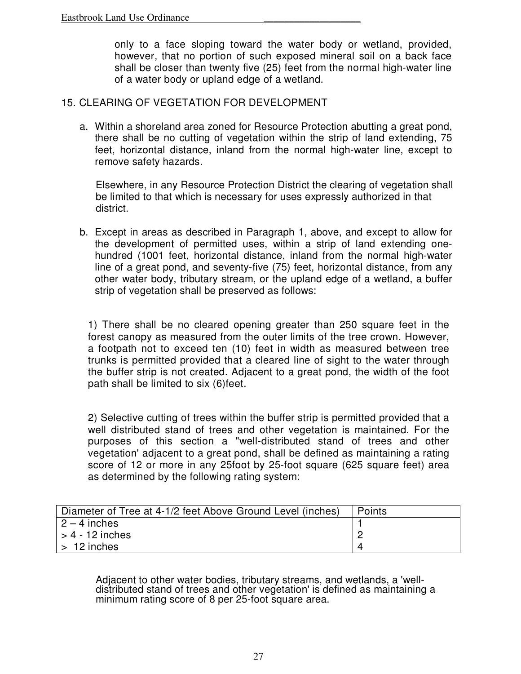only to a face sloping toward the water body or wetland, provided, however, that no portion of such exposed mineral soil on a back face shall be closer than twenty five (25) feet from the normal high-water line of a water body or upland edge of a wetland.

#### 15. CLEARING OF VEGETATION FOR DEVELOPMENT

a. Within a shoreland area zoned for Resource Protection abutting a great pond, there shall be no cutting of vegetation within the strip of land extending, 75 feet, horizontal distance, inland from the normal high-water line, except to remove safety hazards.

Elsewhere, in any Resource Protection District the clearing of vegetation shall be limited to that which is necessary for uses expressly authorized in that district.

b. Except in areas as described in Paragraph 1, above, and except to allow for the development of permitted uses, within a strip of land extending onehundred (1001 feet, horizontal distance, inland from the normal high-water line of a great pond, and seventy-five (75) feet, horizontal distance, from any other water body, tributary stream, or the upland edge of a wetland, a buffer strip of vegetation shall be preserved as follows:

1) There shall be no cleared opening greater than 250 square feet in the forest canopy as measured from the outer limits of the tree crown. However, a footpath not to exceed ten (10) feet in width as measured between tree trunks is permitted provided that a cleared line of sight to the water through the buffer strip is not created. Adjacent to a great pond, the width of the foot path shall be limited to six (6)feet.

2) Selective cutting of trees within the buffer strip is permitted provided that a well distributed stand of trees and other vegetation is maintained. For the purposes of this section a "well-distributed stand of trees and other vegetation' adjacent to a great pond, shall be defined as maintaining a rating score of 12 or more in any 25foot by 25-foot square (625 square feet) area as determined by the following rating system:

| Diameter of Tree at 4-1/2 feet Above Ground Level (inches) | Points |
|------------------------------------------------------------|--------|
| $2 - 4$ inches                                             |        |
| $\vert$ > 4 - 12 inches                                    |        |
| $\vert$ > 12 inches                                        |        |

Adjacent to other water bodies, tributary streams, and wetlands, a 'welldistributed stand of trees and other vegetation' is defined as maintaining a minimum rating score of 8 per 25-foot square area.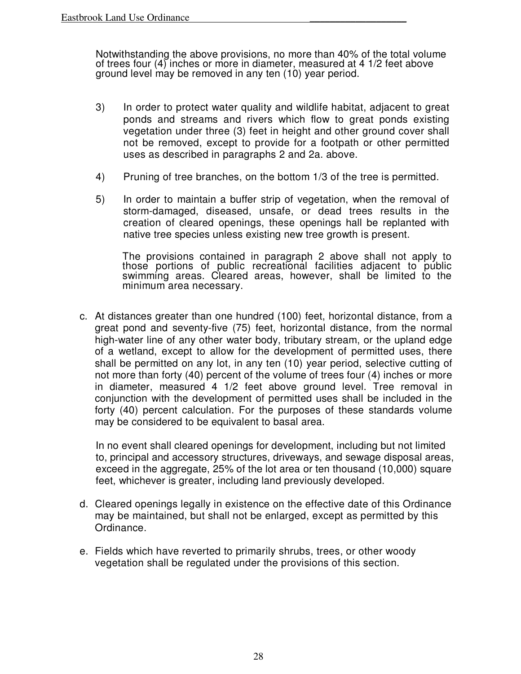Notwithstanding the above provisions, no more than 40% of the total volume of trees four (4) inches or more in diameter, measured at 4 1/2 feet above ground level may be removed in any ten (10) year period.

- 3) In order to protect water quality and wildlife habitat, adjacent to great ponds and streams and rivers which flow to great ponds existing vegetation under three (3) feet in height and other ground cover shall not be removed, except to provide for a footpath or other permitted uses as described in paragraphs 2 and 2a. above.
- 4) Pruning of tree branches, on the bottom 1/3 of the tree is permitted.
- 5) In order to maintain a buffer strip of vegetation, when the removal of storm-damaged, diseased, unsafe, or dead trees results in the creation of cleared openings, these openings hall be replanted with native tree species unless existing new tree growth is present.

The provisions contained in paragraph 2 above shall not apply to those portions of public recreational facilities adjacent to public swimming areas. Cleared areas, however, shall be limited to the minimum area necessary.

c. At distances greater than one hundred (100) feet, horizontal distance, from a great pond and seventy-five (75) feet, horizontal distance, from the normal high-water line of any other water body, tributary stream, or the upland edge of a wetland, except to allow for the development of permitted uses, there shall be permitted on any lot, in any ten (10) year period, selective cutting of not more than forty (40) percent of the volume of trees four (4) inches or more in diameter, measured 4 1/2 feet above ground level. Tree removal in conjunction with the development of permitted uses shall be included in the forty (40) percent calculation. For the purposes of these standards volume may be considered to be equivalent to basal area.

In no event shall cleared openings for development, including but not limited to, principal and accessory structures, driveways, and sewage disposal areas, exceed in the aggregate, 25% of the lot area or ten thousand (10,000) square feet, whichever is greater, including land previously developed.

- d. Cleared openings legally in existence on the effective date of this Ordinance may be maintained, but shall not be enlarged, except as permitted by this Ordinance.
- e. Fields which have reverted to primarily shrubs, trees, or other woody vegetation shall be regulated under the provisions of this section.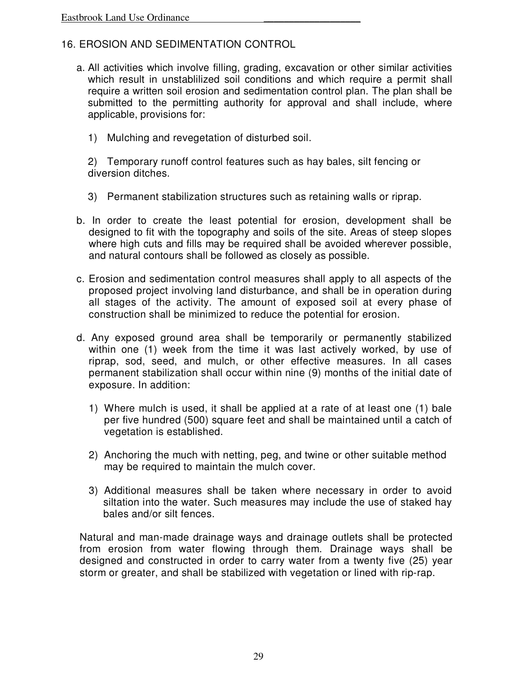## 16. EROSION AND SEDIMENTATION CONTROL

- a. All activities which involve filling, grading, excavation or other similar activities which result in unstablilized soil conditions and which require a permit shall require a written soil erosion and sedimentation control plan. The plan shall be submitted to the permitting authority for approval and shall include, where applicable, provisions for:
	- 1) Mulching and revegetation of disturbed soil.

2) Temporary runoff control features such as hay bales, silt fencing or diversion ditches.

- 3) Permanent stabilization structures such as retaining walls or riprap.
- b. In order to create the least potential for erosion, development shall be designed to fit with the topography and soils of the site. Areas of steep slopes where high cuts and fills may be required shall be avoided wherever possible, and natural contours shall be followed as closely as possible.
- c. Erosion and sedimentation control measures shall apply to all aspects of the proposed project involving land disturbance, and shall be in operation during all stages of the activity. The amount of exposed soil at every phase of construction shall be minimized to reduce the potential for erosion.
- d. Any exposed ground area shall be temporarily or permanently stabilized within one (1) week from the time it was last actively worked, by use of riprap, sod, seed, and mulch, or other effective measures. In all cases permanent stabilization shall occur within nine (9) months of the initial date of exposure. In addition:
	- 1) Where mulch is used, it shall be applied at a rate of at least one (1) bale per five hundred (500) square feet and shall be maintained until a catch of vegetation is established.
	- 2) Anchoring the much with netting, peg, and twine or other suitable method may be required to maintain the mulch cover.
	- 3) Additional measures shall be taken where necessary in order to avoid siltation into the water. Such measures may include the use of staked hay bales and/or silt fences.

Natural and man-made drainage ways and drainage outlets shall be protected from erosion from water flowing through them. Drainage ways shall be designed and constructed in order to carry water from a twenty five (25) year storm or greater, and shall be stabilized with vegetation or lined with rip-rap.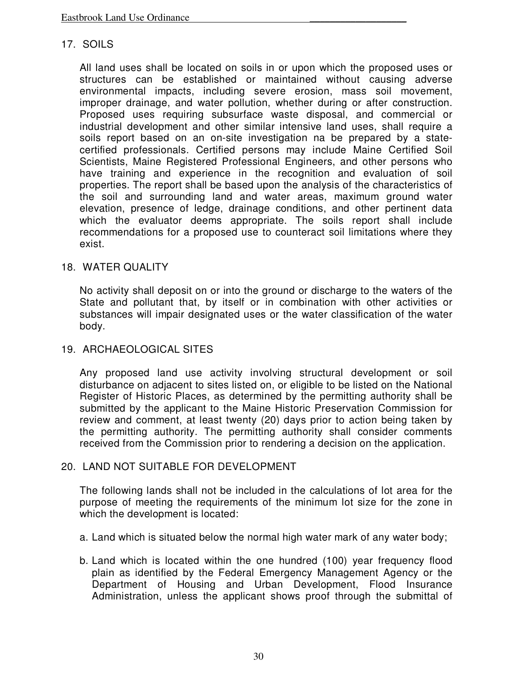#### 17. SOILS

All land uses shall be located on soils in or upon which the proposed uses or structures can be established or maintained without causing adverse environmental impacts, including severe erosion, mass soil movement, improper drainage, and water pollution, whether during or after construction. Proposed uses requiring subsurface waste disposal, and commercial or industrial development and other similar intensive land uses, shall require a soils report based on an on-site investigation na be prepared by a statecertified professionals. Certified persons may include Maine Certified Soil Scientists, Maine Registered Professional Engineers, and other persons who have training and experience in the recognition and evaluation of soil properties. The report shall be based upon the analysis of the characteristics of the soil and surrounding land and water areas, maximum ground water elevation, presence of ledge, drainage conditions, and other pertinent data which the evaluator deems appropriate. The soils report shall include recommendations for a proposed use to counteract soil limitations where they exist.

#### 18. WATER QUALITY

No activity shall deposit on or into the ground or discharge to the waters of the State and pollutant that, by itself or in combination with other activities or substances will impair designated uses or the water classification of the water body.

#### 19. ARCHAEOLOGICAL SITES

Any proposed land use activity involving structural development or soil disturbance on adjacent to sites listed on, or eligible to be listed on the National Register of Historic Places, as determined by the permitting authority shall be submitted by the applicant to the Maine Historic Preservation Commission for review and comment, at least twenty (20) days prior to action being taken by the permitting authority. The permitting authority shall consider comments received from the Commission prior to rendering a decision on the application.

#### 20. LAND NOT SUITABLE FOR DEVELOPMENT

The following lands shall not be included in the calculations of lot area for the purpose of meeting the requirements of the minimum lot size for the zone in which the development is located:

- a. Land which is situated below the normal high water mark of any water body;
- b. Land which is located within the one hundred (100) year frequency flood plain as identified by the Federal Emergency Management Agency or the Department of Housing and Urban Development, Flood Insurance Administration, unless the applicant shows proof through the submittal of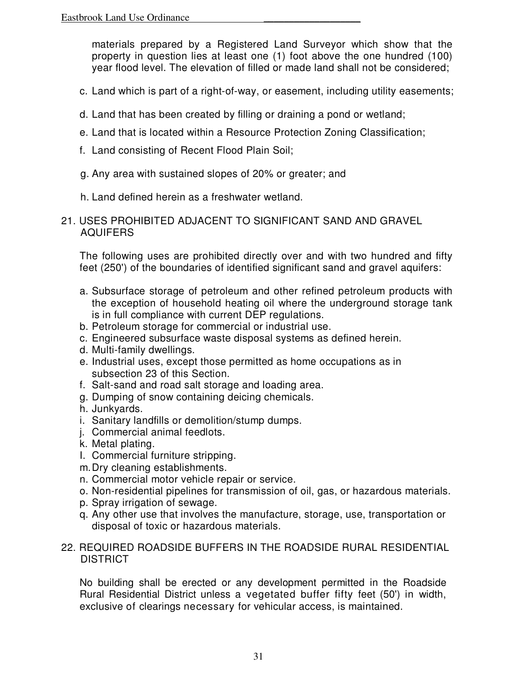materials prepared by a Registered Land Surveyor which show that the property in question lies at least one (1) foot above the one hundred (100) year flood level. The elevation of filled or made land shall not be considered;

- c. Land which is part of a right-of-way, or easement, including utility easements;
- d. Land that has been created by filling or draining a pond or wetland;
- e. Land that is located within a Resource Protection Zoning Classification;
- f. Land consisting of Recent Flood Plain Soil;
- g. Any area with sustained slopes of 20% or greater; and
- h. Land defined herein as a freshwater wetland.
- 21. USES PROHIBITED ADJACENT TO SIGNIFICANT SAND AND GRAVEL AQUIFERS

The following uses are prohibited directly over and with two hundred and fifty feet (250') of the boundaries of identified significant sand and gravel aquifers:

- a. Subsurface storage of petroleum and other refined petroleum products with the exception of household heating oil where the underground storage tank is in full compliance with current DEP regulations.
- b. Petroleum storage for commercial or industrial use.
- c. Engineered subsurface waste disposal systems as defined herein.
- d. Multi-family dwellings.
- e. Industrial uses, except those permitted as home occupations as in subsection 23 of this Section.
- f. Salt-sand and road salt storage and loading area.
- g. Dumping of snow containing deicing chemicals.
- h. Junkyards.
- i. Sanitary landfills or demolition/stump dumps.
- j. Commercial animal feedlots.
- k. Metal plating.
- I. Commercial furniture stripping.
- m. Dry cleaning establishments.
- n. Commercial motor vehicle repair or service.
- o. Non-residential pipelines for transmission of oil, gas, or hazardous materials.
- p. Spray irrigation of sewage.
- q. Any other use that involves the manufacture, storage, use, transportation or disposal of toxic or hazardous materials.
- 22. REQUIRED ROADSIDE BUFFERS IN THE ROADSIDE RURAL RESIDENTIAL DISTRICT

No building shall be erected or any development permitted in the Roadside Rural Residential District unless a vegetated buffer fifty feet (50') in width, exclusive of clearings necessary for vehicular access, is maintained.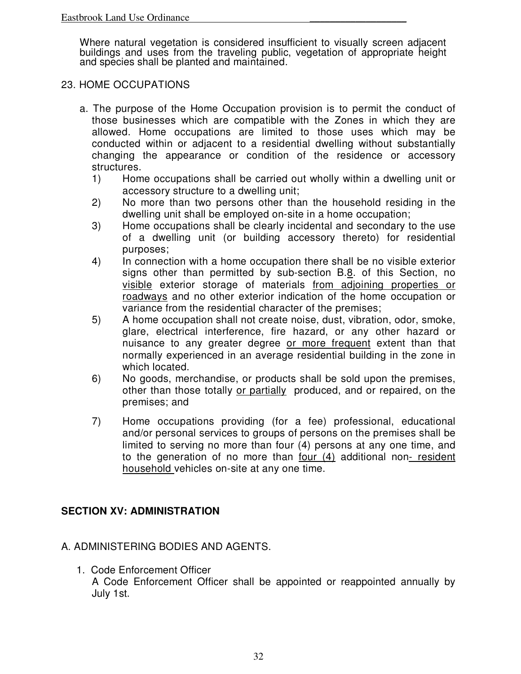Where natural vegetation is considered insufficient to visually screen adjacent buildings and uses from the traveling public, vegetation of appropriate height and species shall be planted and maintained.

#### 23. HOME OCCUPATIONS

- a. The purpose of the Home Occupation provision is to permit the conduct of those businesses which are compatible with the Zones in which they are allowed. Home occupations are limited to those uses which may be conducted within or adjacent to a residential dwelling without substantially changing the appearance or condition of the residence or accessory structures.
	- 1) Home occupations shall be carried out wholly within a dwelling unit or accessory structure to a dwelling unit;
	- 2) No more than two persons other than the household residing in the dwelling unit shall be employed on-site in a home occupation;
	- 3) Home occupations shall be clearly incidental and secondary to the use of a dwelling unit (or building accessory thereto) for residential purposes;
	- 4) In connection with a home occupation there shall be no visible exterior signs other than permitted by sub-section B.8. of this Section, no visible exterior storage of materials from adjoining properties or roadways and no other exterior indication of the home occupation or variance from the residential character of the premises;
	- 5) A home occupation shall not create noise, dust, vibration, odor, smoke, glare, electrical interference, fire hazard, or any other hazard or nuisance to any greater degree or more frequent extent than that normally experienced in an average residential building in the zone in which located.
	- 6) No goods, merchandise, or products shall be sold upon the premises, other than those totally or partially produced, and or repaired, on the premises; and
	- 7) Home occupations providing (for a fee) professional, educational and/or personal services to groups of persons on the premises shall be limited to serving no more than four (4) persons at any one time, and to the generation of no more than <u>four (4)</u> additional non- resident household vehicles on-site at any one time.

# **SECTION XV: ADMINISTRATION**

### A. ADMINISTERING BODIES AND AGENTS.

1. Code Enforcement Officer A Code Enforcement Officer shall be appointed or reappointed annually by July 1st.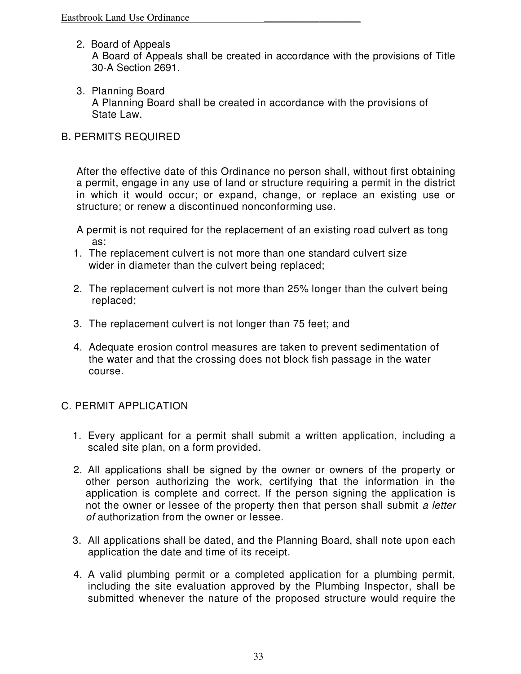- 2. Board of Appeals A Board of Appeals shall be created in accordance with the provisions of Title 30-A Section 2691.
- 3. Planning Board A Planning Board shall be created in accordance with the provisions of State Law.

### B**.** PERMITS REQUIRED

After the effective date of this Ordinance no person shall, without first obtaining a permit, engage in any use of land or structure requiring a permit in the district in which it would occur; or expand, change, or replace an existing use or structure; or renew a discontinued nonconforming use.

A permit is not required for the replacement of an existing road culvert as tong as:

- 1. The replacement culvert is not more than one standard culvert size wider in diameter than the culvert being replaced;
- 2. The replacement culvert is not more than 25% longer than the culvert being replaced;
- 3. The replacement culvert is not longer than 75 feet; and
- 4. Adequate erosion control measures are taken to prevent sedimentation of the water and that the crossing does not block fish passage in the water course.

### C. PERMIT APPLICATION

- 1. Every applicant for a permit shall submit a written application, including a scaled site plan, on a form provided.
- 2. All applications shall be signed by the owner or owners of the property or other person authorizing the work, certifying that the information in the application is complete and correct. If the person signing the application is not the owner or lessee of the property then that person shall submit a letter of authorization from the owner or lessee.
- 3. All applications shall be dated, and the Planning Board, shall note upon each application the date and time of its receipt.
- 4. A valid plumbing permit or a completed application for a plumbing permit, including the site evaluation approved by the Plumbing Inspector, shall be submitted whenever the nature of the proposed structure would require the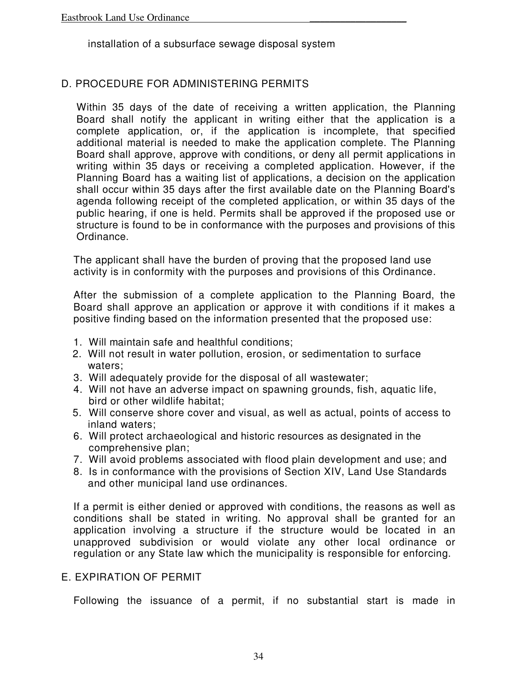installation of a subsurface sewage disposal system

### D. PROCEDURE FOR ADMINISTERING PERMITS

Within 35 days of the date of receiving a written application, the Planning Board shall notify the applicant in writing either that the application is a complete application, or, if the application is incomplete, that specified additional material is needed to make the application complete. The Planning Board shall approve, approve with conditions, or deny all permit applications in writing within 35 days or receiving a completed application. However, if the Planning Board has a waiting list of applications, a decision on the application shall occur within 35 days after the first available date on the Planning Board's agenda following receipt of the completed application, or within 35 days of the public hearing, if one is held. Permits shall be approved if the proposed use or structure is found to be in conformance with the purposes and provisions of this Ordinance.

The applicant shall have the burden of proving that the proposed land use activity is in conformity with the purposes and provisions of this Ordinance.

After the submission of a complete application to the Planning Board, the Board shall approve an application or approve it with conditions if it makes a positive finding based on the information presented that the proposed use:

- 1. Will maintain safe and healthful conditions;
- 2. Will not result in water pollution, erosion, or sedimentation to surface waters;
- 3. Will adequately provide for the disposal of all wastewater;
- 4. Will not have an adverse impact on spawning grounds, fish, aquatic life, bird or other wildlife habitat;
- 5. Will conserve shore cover and visual, as well as actual, points of access to inland waters;
- 6. Will protect archaeological and historic resources as designated in the comprehensive plan;
- 7. Will avoid problems associated with flood plain development and use; and
- 8. Is in conformance with the provisions of Section XIV, Land Use Standards and other municipal land use ordinances.

If a permit is either denied or approved with conditions, the reasons as well as conditions shall be stated in writing. No approval shall be granted for an application involving a structure if the structure would be located in an unapproved subdivision or would violate any other local ordinance or regulation or any State law which the municipality is responsible for enforcing.

### E. EXPIRATION OF PERMIT

Following the issuance of a permit, if no substantial start is made in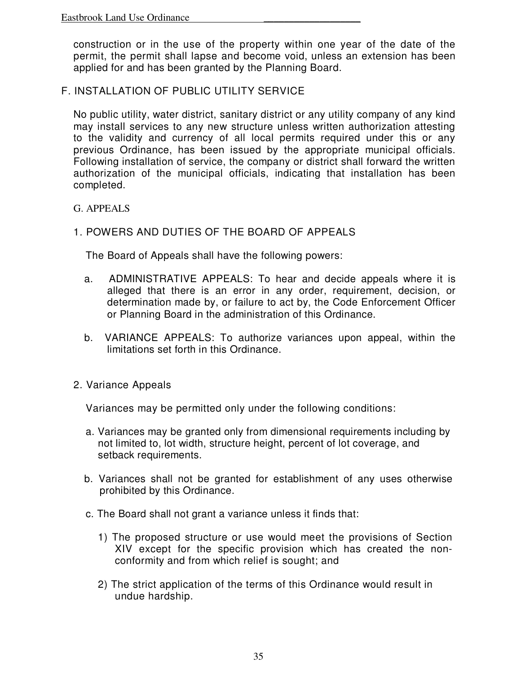construction or in the use of the property within one year of the date of the permit, the permit shall lapse and become void, unless an extension has been applied for and has been granted by the Planning Board.

F. INSTALLATION OF PUBLIC UTILITY SERVICE

No public utility, water district, sanitary district or any utility company of any kind may install services to any new structure unless written authorization attesting to the validity and currency of all local permits required under this or any previous Ordinance, has been issued by the appropriate municipal officials. Following installation of service, the company or district shall forward the written authorization of the municipal officials, indicating that installation has been completed.

G. APPEALS

### 1. POWERS AND DUTIES OF THE BOARD OF APPEALS

The Board of Appeals shall have the following powers:

- a. ADMINISTRATIVE APPEALS: To hear and decide appeals where it is alleged that there is an error in any order, requirement, decision, or determination made by, or failure to act by, the Code Enforcement Officer or Planning Board in the administration of this Ordinance.
- b. VARIANCE APPEALS: To authorize variances upon appeal, within the limitations set forth in this Ordinance.
- 2. Variance Appeals

Variances may be permitted only under the following conditions:

- a. Variances may be granted only from dimensional requirements including by not limited to, lot width, structure height, percent of lot coverage, and setback requirements.
- b. Variances shall not be granted for establishment of any uses otherwise prohibited by this Ordinance.
- c. The Board shall not grant a variance unless it finds that:
	- 1) The proposed structure or use would meet the provisions of Section XIV except for the specific provision which has created the nonconformity and from which relief is sought; and
	- 2) The strict application of the terms of this Ordinance would result in undue hardship.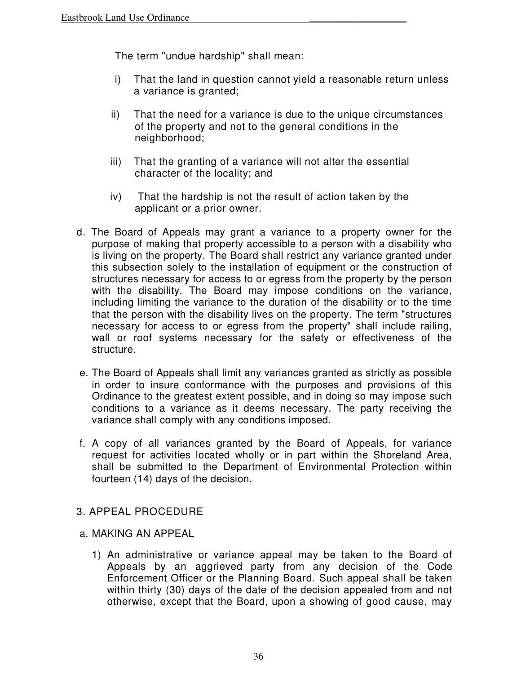The term "undue hardship" shall mean:

- i) That the land in question cannot yield a reasonable return unless a variance is granted;
- ii) That the need for a variance is due to the unique circumstances of the property and not to the general conditions in the neighborhood;
- iii) That the granting of a variance will not alter the essential character of the locality; and
- iv) That the hardship is not the result of action taken by the applicant or a prior owner.
- d. The Board of Appeals may grant a variance to a property owner for the purpose of making that property accessible to a person with a disability who is living on the property. The Board shall restrict any variance granted under this subsection solely to the installation of equipment or the construction of structures necessary for access to or egress from the property by the person with the disability. The Board may impose conditions on the variance, including limiting the variance to the duration of the disability or to the time that the person with the disability lives on the property. The term "structures necessary for access to or egress from the property" shall include railing, wall or roof systems necessary for the safety or effectiveness of the structure.
- e. The Board of Appeals shall limit any variances granted as strictly as possible in order to insure conformance with the purposes and provisions of this Ordinance to the greatest extent possible, and in doing so may impose such conditions to a variance as it deems necessary. The party receiving the variance shall comply with any conditions imposed.
- f. A copy of all variances granted by the Board of Appeals, for variance request for activities located wholly or in part within the Shoreland Area, shall be submitted to the Department of Environmental Protection within fourteen (14) days of the decision.

# 3. APPEAL PROCEDURE

#### a. MAKING AN APPEAL

1) An administrative or variance appeal may be taken to the Board of Appeals by an aggrieved party from any decision of the Code Enforcement Officer or the Planning Board. Such appeal shall be taken within thirty (30) days of the date of the decision appealed from and not otherwise, except that the Board, upon a showing of good cause, may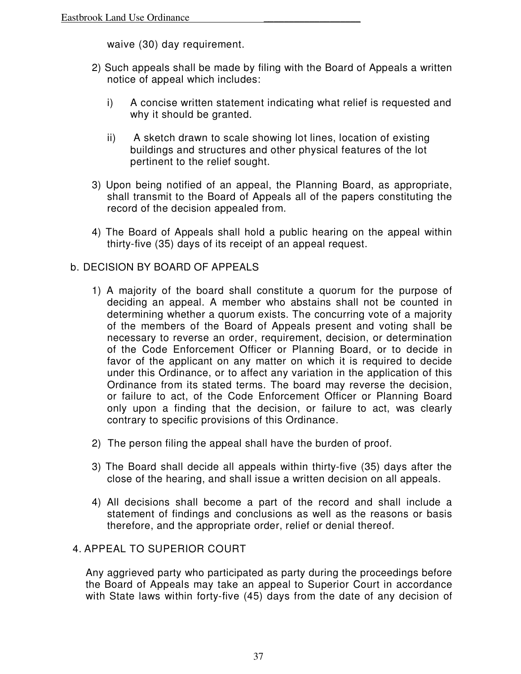waive (30) day requirement.

- 2) Such appeals shall be made by filing with the Board of Appeals a written notice of appeal which includes:
	- i) A concise written statement indicating what relief is requested and why it should be granted.
	- ii) A sketch drawn to scale showing lot lines, location of existing buildings and structures and other physical features of the lot pertinent to the relief sought.
- 3) Upon being notified of an appeal, the Planning Board, as appropriate, shall transmit to the Board of Appeals all of the papers constituting the record of the decision appealed from.
- 4) The Board of Appeals shall hold a public hearing on the appeal within thirty-five (35) days of its receipt of an appeal request.

### b. DECISION BY BOARD OF APPEALS

- 1) A majority of the board shall constitute a quorum for the purpose of deciding an appeal. A member who abstains shall not be counted in determining whether a quorum exists. The concurring vote of a majority of the members of the Board of Appeals present and voting shall be necessary to reverse an order, requirement, decision, or determination of the Code Enforcement Officer or Planning Board, or to decide in favor of the applicant on any matter on which it is required to decide under this Ordinance, or to affect any variation in the application of this Ordinance from its stated terms. The board may reverse the decision, or failure to act, of the Code Enforcement Officer or Planning Board only upon a finding that the decision, or failure to act, was clearly contrary to specific provisions of this Ordinance.
- 2) The person filing the appeal shall have the burden of proof.
- 3) The Board shall decide all appeals within thirty-five (35) days after the close of the hearing, and shall issue a written decision on all appeals.
- 4) All decisions shall become a part of the record and shall include a statement of findings and conclusions as well as the reasons or basis therefore, and the appropriate order, relief or denial thereof.

### 4. APPEAL TO SUPERIOR COURT

Any aggrieved party who participated as party during the proceedings before the Board of Appeals may take an appeal to Superior Court in accordance with State laws within forty-five (45) days from the date of any decision of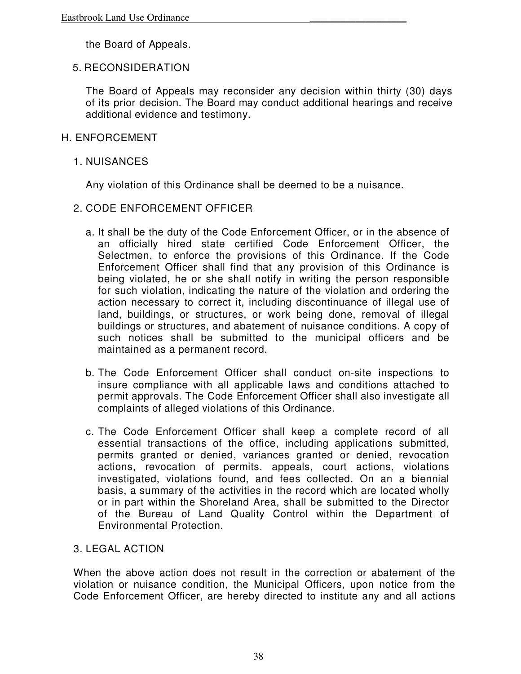the Board of Appeals.

### 5. RECONSIDERATION

The Board of Appeals may reconsider any decision within thirty (30) days of its prior decision. The Board may conduct additional hearings and receive additional evidence and testimony.

#### H. ENFORCEMENT

#### 1. NUISANCES

Any violation of this Ordinance shall be deemed to be a nuisance.

- 2. CODE ENFORCEMENT OFFICER
	- a. It shall be the duty of the Code Enforcement Officer, or in the absence of an officially hired state certified Code Enforcement Officer, the Selectmen, to enforce the provisions of this Ordinance. If the Code Enforcement Officer shall find that any provision of this Ordinance is being violated, he or she shall notify in writing the person responsible for such violation, indicating the nature of the violation and ordering the action necessary to correct it, including discontinuance of illegal use of land, buildings, or structures, or work being done, removal of illegal buildings or structures, and abatement of nuisance conditions. A copy of such notices shall be submitted to the municipal officers and be maintained as a permanent record.
	- b. The Code Enforcement Officer shall conduct on-site inspections to insure compliance with all applicable laws and conditions attached to permit approvals. The Code Enforcement Officer shall also investigate all complaints of alleged violations of this Ordinance.
	- c. The Code Enforcement Officer shall keep a complete record of all essential transactions of the office, including applications submitted, permits granted or denied, variances granted or denied, revocation actions, revocation of permits. appeals, court actions, violations investigated, violations found, and fees collected. On an a biennial basis, a summary of the activities in the record which are located wholly or in part within the Shoreland Area, shall be submitted to the Director of the Bureau of Land Quality Control within the Department of Environmental Protection.

### 3. LEGAL ACTION

When the above action does not result in the correction or abatement of the violation or nuisance condition, the Municipal Officers, upon notice from the Code Enforcement Officer, are hereby directed to institute any and all actions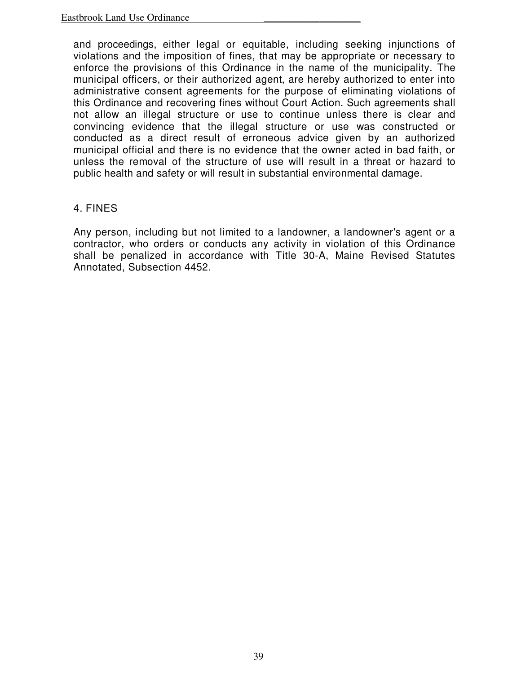and proceedings, either legal or equitable, including seeking injunctions of violations and the imposition of fines, that may be appropriate or necessary to enforce the provisions of this Ordinance in the name of the municipality. The municipal officers, or their authorized agent, are hereby authorized to enter into administrative consent agreements for the purpose of eliminating violations of this Ordinance and recovering fines without Court Action. Such agreements shall not allow an illegal structure or use to continue unless there is clear and convincing evidence that the illegal structure or use was constructed or conducted as a direct result of erroneous advice given by an authorized municipal official and there is no evidence that the owner acted in bad faith, or unless the removal of the structure of use will result in a threat or hazard to public health and safety or will result in substantial environmental damage.

#### 4. FINES

Any person, including but not limited to a landowner, a landowner's agent or a contractor, who orders or conducts any activity in violation of this Ordinance shall be penalized in accordance with Title 30-A, Maine Revised Statutes Annotated, Subsection 4452.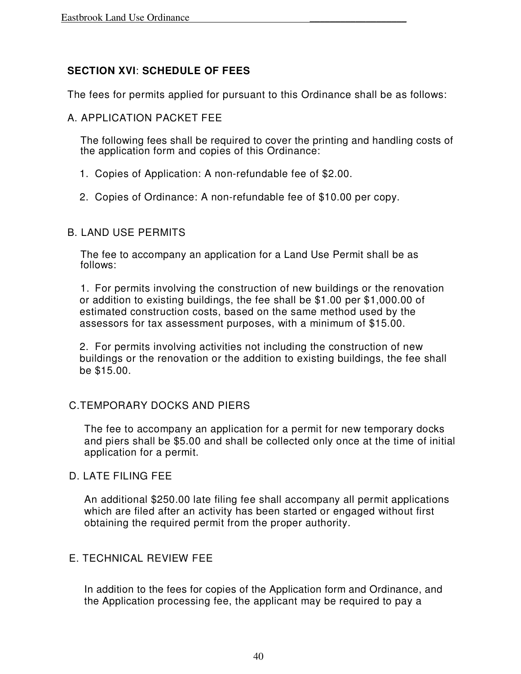# **SECTION XVI**: **SCHEDULE OF FEES**

The fees for permits applied for pursuant to this Ordinance shall be as follows:

### A. APPLICATION PACKET FEE

The following fees shall be required to cover the printing and handling costs of the application form and copies of this Ordinance:

- 1. Copies of Application: A non-refundable fee of \$2.00.
- 2. Copies of Ordinance: A non-refundable fee of \$10.00 per copy.

### B. LAND USE PERMITS

The fee to accompany an application for a Land Use Permit shall be as follows:

1. For permits involving the construction of new buildings or the renovation or addition to existing buildings, the fee shall be \$1.00 per \$1,000.00 of estimated construction costs, based on the same method used by the assessors for tax assessment purposes, with a minimum of \$15.00.

2. For permits involving activities not including the construction of new buildings or the renovation or the addition to existing buildings, the fee shall be \$15.00.

### C.TEMPORARY DOCKS AND PIERS

The fee to accompany an application for a permit for new temporary docks and piers shall be \$5.00 and shall be collected only once at the time of initial application for a permit.

### D. LATE FILING FEE

An additional \$250.00 late filing fee shall accompany all permit applications which are filed after an activity has been started or engaged without first obtaining the required permit from the proper authority.

# E. TECHNICAL REVIEW FEE

In addition to the fees for copies of the Application form and Ordinance, and the Application processing fee, the applicant may be required to pay a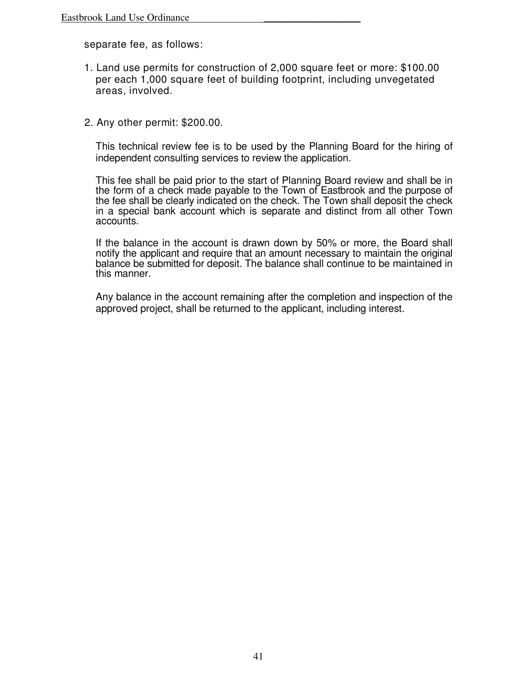separate fee, as follows:

- 1. Land use permits for construction of 2,000 square feet or more: \$100.00 per each 1,000 square feet of building footprint, including unvegetated areas, involved.
- 2. Any other permit: \$200.00.

This technical review fee is to be used by the Planning Board for the hiring of independent consulting services to review the application.

This fee shall be paid prior to the start of Planning Board review and shall be in the form of a check made payable to the Town of Eastbrook and the purpose of the fee shall be clearly indicated on the check. The Town shall deposit the check in a special bank account which is separate and distinct from all other Town accounts.

If the balance in the account is drawn down by 50% or more, the Board shall notify the applicant and require that an amount necessary to maintain the original balance be submitted for deposit. The balance shall continue to be maintained in this manner.

Any balance in the account remaining after the completion and inspection of the approved project, shall be returned to the applicant, including interest.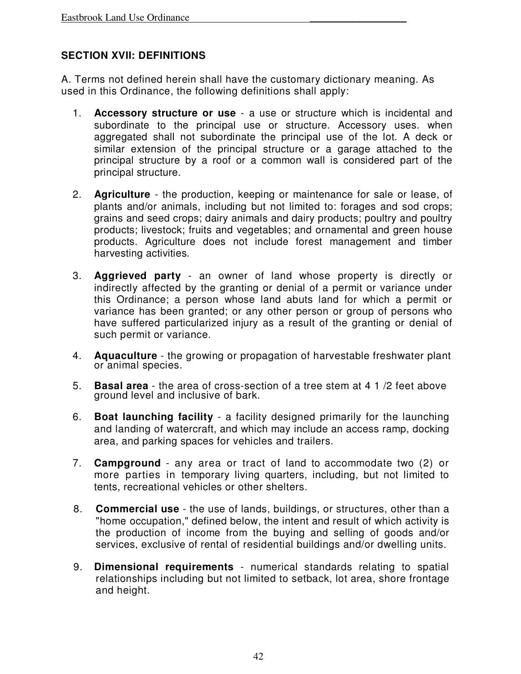### **SECTION XVII: DEFINITIONS**

A. Terms not defined herein shall have the customary dictionary meaning. As used in this Ordinance, the following definitions shall apply:

- 1. **Accessory structure or use** a use or structure which is incidental and subordinate to the principal use or structure. Accessory uses. when aggregated shall not subordinate the principal use of the lot. A deck or similar extension of the principal structure or a garage attached to the principal structure by a roof or a common wall is considered part of the principal structure.
- 2. **Agriculture** the production, keeping or maintenance for sale or lease, of plants and/or animals, including but not limited to: forages and sod crops; grains and seed crops; dairy animals and dairy products; poultry and poultry products; livestock; fruits and vegetables; and ornamental and green house products. Agriculture does not include forest management and timber harvesting activities.
- 3. **Aggrieved party** an owner of land whose property is directly or indirectly affected by the granting or denial of a permit or variance under this Ordinance; a person whose land abuts land for which a permit or variance has been granted; or any other person or group of persons who have suffered particularized injury as a result of the granting or denial of such permit or variance.
- 4. **Aquaculture** the growing or propagation of harvestable freshwater plant or animal species.
- 5. **Basal area** the area of cross-section of a tree stem at 4 1 /2 feet above ground level and inclusive of bark.
- 6. **Boat launching facility** a facility designed primarily for the launching and landing of watercraft, and which may include an access ramp, docking area, and parking spaces for vehicles and trailers.
- 7. **Campground** any area or tract of land to accommodate two (2) or more parties in temporary living quarters, including, but not limited to tents, recreational vehicles or other shelters.
- 8. **Commercial use** the use of lands, buildings, or structures, other than a "home occupation," defined below, the intent and result of which activity is the production of income from the buying and selling of goods and/or services, exclusive of rental of residential buildings and/or dwelling units.
- 9. **Dimensional requirements**  numerical standards relating to spatial relationships including but not limited to setback, lot area, shore frontage and height.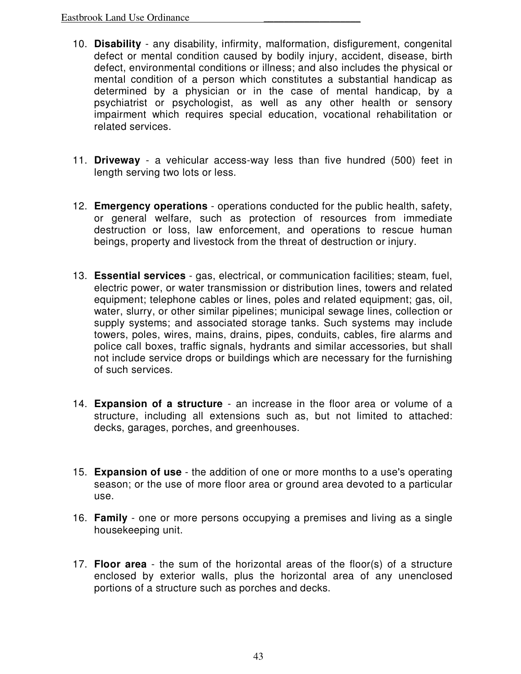- 10. **Disability** any disability, infirmity, malformation, disfigurement, congenital defect or mental condition caused by bodily injury, accident, disease, birth defect, environmental conditions or illness; and also includes the physical or mental condition of a person which constitutes a substantial handicap as determined by a physician or in the case of mental handicap, by a psychiatrist or psychologist, as well as any other health or sensory impairment which requires special education, vocational rehabilitation or related services.
- 11. **Driveway** a vehicular access-way less than five hundred (500) feet in length serving two lots or less.
- 12. **Emergency operations** operations conducted for the public health, safety, or general welfare, such as protection of resources from immediate destruction or loss, law enforcement, and operations to rescue human beings, property and livestock from the threat of destruction or injury.
- 13. **Essential services** gas, electrical, or communication facilities; steam, fuel, electric power, or water transmission or distribution lines, towers and related equipment; telephone cables or lines, poles and related equipment; gas, oil, water, slurry, or other similar pipelines; municipal sewage lines, collection or supply systems; and associated storage tanks. Such systems may include towers, poles, wires, mains, drains, pipes, conduits, cables, fire alarms and police call boxes, traffic signals, hydrants and similar accessories, but shall not include service drops or buildings which are necessary for the furnishing of such services.
- 14. **Expansion of a structure** an increase in the floor area or volume of a structure, including all extensions such as, but not limited to attached: decks, garages, porches, and greenhouses.
- 15. **Expansion of use** the addition of one or more months to a use's operating season; or the use of more floor area or ground area devoted to a particular use.
- 16. **Family** one or more persons occupying a premises and living as a single housekeeping unit.
- 17. **Floor area** the sum of the horizontal areas of the floor(s) of a structure enclosed by exterior walls, plus the horizontal area of any unenclosed portions of a structure such as porches and decks.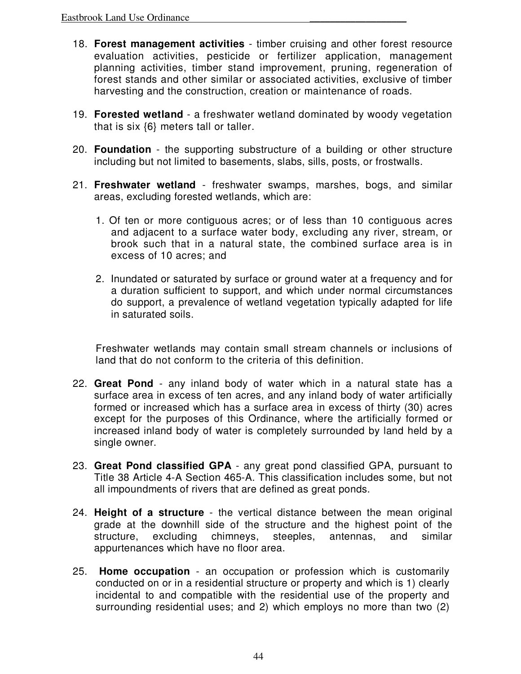- 18. **Forest management activities** timber cruising and other forest resource evaluation activities, pesticide or fertilizer application, management planning activities, timber stand improvement, pruning, regeneration of forest stands and other similar or associated activities, exclusive of timber harvesting and the construction, creation or maintenance of roads.
- 19. **Forested wetland** a freshwater wetland dominated by woody vegetation that is six {6} meters tall or taller.
- 20. **Foundation** the supporting substructure of a building or other structure including but not limited to basements, slabs, sills, posts, or frostwalls.
- 21. **Freshwater wetland**  freshwater swamps, marshes, bogs, and similar areas, excluding forested wetlands, which are:
	- 1. Of ten or more contiguous acres; or of less than 10 contiguous acres and adjacent to a surface water body, excluding any river, stream, or brook such that in a natural state, the combined surface area is in excess of 10 acres; and
	- 2. Inundated or saturated by surface or ground water at a frequency and for a duration sufficient to support, and which under normal circumstances do support, a prevalence of wetland vegetation typically adapted for life in saturated soils.

Freshwater wetlands may contain small stream channels or inclusions of land that do not conform to the criteria of this definition.

- 22. **Great Pond**  any inland body of water which in a natural state has a surface area in excess of ten acres, and any inland body of water artificially formed or increased which has a surface area in excess of thirty (30) acres except for the purposes of this Ordinance, where the artificially formed or increased inland body of water is completely surrounded by land held by a single owner.
- 23. **Great Pond classified GPA**  any great pond classified GPA, pursuant to Title 38 Article 4-A Section 465-A. This classification includes some, but not all impoundments of rivers that are defined as great ponds.
- 24. **Height of a structure**  the vertical distance between the mean original grade at the downhill side of the structure and the highest point of the structure, excluding chimneys, steeples, antennas, and similar appurtenances which have no floor area.
- 25. **Home occupation**  an occupation or profession which is customarily conducted on or in a residential structure or property and which is 1) clearly incidental to and compatible with the residential use of the property and surrounding residential uses; and 2) which employs no more than two (2)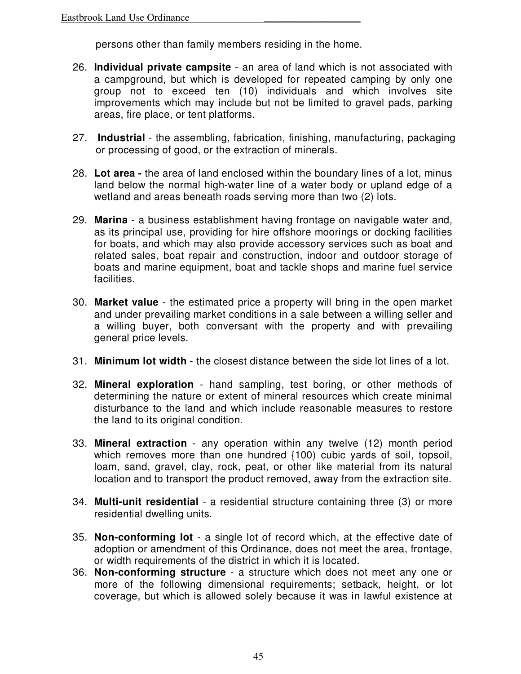persons other than family members residing in the home.

- 26. **Individual private campsite**  an area of land which is not associated with a campground, but which is developed for repeated camping by only one group not to exceed ten (10) individuals and which involves site improvements which may include but not be limited to gravel pads, parking areas, fire place, or tent platforms.
- 27. **Industrial** the assembling, fabrication, finishing, manufacturing, packaging or processing of good, or the extraction of minerals.
- 28. **Lot area** the area of land enclosed within the boundary lines of a lot, minus land below the normal high-water line of a water body or upland edge of a wetland and areas beneath roads serving more than two (2) lots.
- 29. **Marina** a business establishment having frontage on navigable water and, as its principal use, providing for hire offshore moorings or docking facilities for boats, and which may also provide accessory services such as boat and related sales, boat repair and construction, indoor and outdoor storage of boats and marine equipment, boat and tackle shops and marine fuel service facilities.
- 30. **Market value**  the estimated price a property will bring in the open market and under prevailing market conditions in a sale between a willing seller and a willing buyer, both conversant with the property and with prevailing general price levels.
- 31. **Minimum lot width**  the closest distance between the side lot lines of a lot.
- 32. **Mineral exploration**  hand sampling, test boring, or other methods of determining the nature or extent of mineral resources which create minimal disturbance to the land and which include reasonable measures to restore the land to its original condition.
- 33. **Mineral extraction**  any operation within any twelve (12) month period which removes more than one hundred {100) cubic yards of soil, topsoil, loam, sand, gravel, clay, rock, peat, or other like material from its natural location and to transport the product removed, away from the extraction site.
- 34. **Multi-unit residential**  a residential structure containing three (3) or more residential dwelling units.
- 35. **Non-conforming lot**  a single lot of record which, at the effective date of adoption or amendment of this Ordinance, does not meet the area, frontage, or width requirements of the district in which it is located.
- 36. **Non-conforming structure**  a structure which does not meet any one or more of the following dimensional requirements; setback, height, or lot coverage, but which is allowed solely because it was in lawful existence at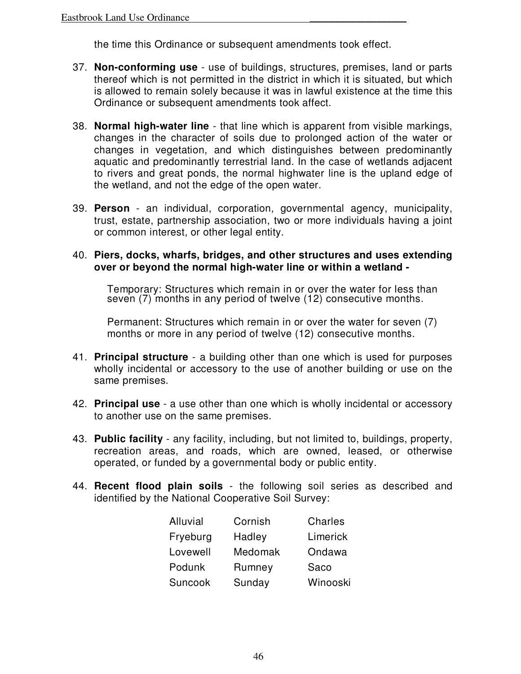the time this Ordinance or subsequent amendments took effect.

- 37. **Non-conforming use**  use of buildings, structures, premises, land or parts thereof which is not permitted in the district in which it is situated, but which is allowed to remain solely because it was in lawful existence at the time this Ordinance or subsequent amendments took affect.
- 38. **Normal high-water line**  that line which is apparent from visible markings, changes in the character of soils due to prolonged action of the water or changes in vegetation, and which distinguishes between predominantly aquatic and predominantly terrestrial land. In the case of wetlands adjacent to rivers and great ponds, the normal highwater line is the upland edge of the wetland, and not the edge of the open water.
- 39. **Person**  an individual, corporation, governmental agency, municipality, trust, estate, partnership association, two or more individuals having a joint or common interest, or other legal entity.

#### 40. **Piers, docks, wharfs, bridges, and other structures and uses extending over or beyond the normal high-water line or within a wetland -**

Temporary: Structures which remain in or over the water for less than seven (7) months in any period of twelve (12) consecutive months.

Permanent: Structures which remain in or over the water for seven (7) months or more in any period of twelve (12) consecutive months.

- 41. **Principal structure**  a building other than one which is used for purposes wholly incidental or accessory to the use of another building or use on the same premises.
- 42. **Principal use**  a use other than one which is wholly incidental or accessory to another use on the same premises.
- 43. **Public facility**  any facility, including, but not limited to, buildings, property, recreation areas, and roads, which are owned, leased, or otherwise operated, or funded by a governmental body or public entity.
- 44. **Recent flood plain soils**  the following soil series as described and identified by the National Cooperative Soil Survey:

| Alluvial | Cornish | Charles  |
|----------|---------|----------|
| Fryeburg | Hadley  | Limerick |
| Lovewell | Medomak | Ondawa   |
| Podunk   | Rumney  | Saco     |
| Suncook  | Sunday  | Winooski |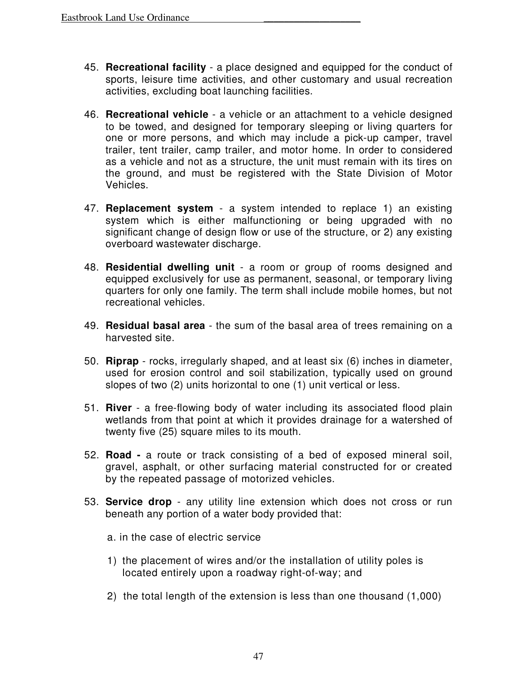- 45. **Recreational facility**  a place designed and equipped for the conduct of sports, leisure time activities, and other customary and usual recreation activities, excluding boat launching facilities.
- 46. **Recreational vehicle**  a vehicle or an attachment to a vehicle designed to be towed, and designed for temporary sleeping or living quarters for one or more persons, and which may include a pick-up camper, travel trailer, tent trailer, camp trailer, and motor home. In order to considered as a vehicle and not as a structure, the unit must remain with its tires on the ground, and must be registered with the State Division of Motor Vehicles.
- 47. **Replacement system**  a system intended to replace 1) an existing system which is either malfunctioning or being upgraded with no significant change of design flow or use of the structure, or 2) any existing overboard wastewater discharge.
- 48. **Residential dwelling unit**  a room or group of rooms designed and equipped exclusively for use as permanent, seasonal, or temporary living quarters for only one family. The term shall include mobile homes, but not recreational vehicles.
- 49. **Residual basal area**  the sum of the basal area of trees remaining on a harvested site.
- 50. **Riprap**  rocks, irregularly shaped, and at least six (6) inches in diameter, used for erosion control and soil stabilization, typically used on ground slopes of two (2) units horizontal to one (1) unit vertical or less.
- 51. **River**  a free-flowing body of water including its associated flood plain wetlands from that point at which it provides drainage for a watershed of twenty five (25) square miles to its mouth.
- 52. **Road** a route or track consisting of a bed of exposed mineral soil, gravel, asphalt, or other surfacing material constructed for or created by the repeated passage of motorized vehicles.
- 53. **Service drop**  any utility line extension which does not cross or run beneath any portion of a water body provided that:
	- a. in the case of electric service
	- 1) the placement of wires and/or the installation of utility poles is located entirely upon a roadway right-of-way; and
	- 2) the total length of the extension is less than one thousand (1,000)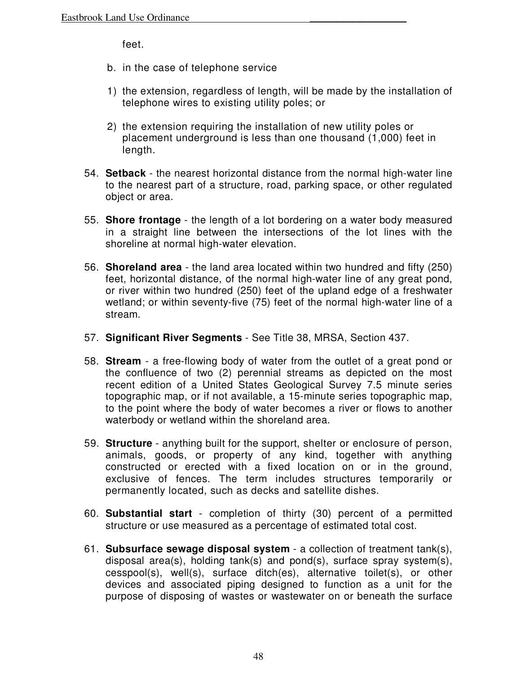feet.

- b. in the case of telephone service
- 1) the extension, regardless of length, will be made by the installation of telephone wires to existing utility poles; or
- 2) the extension requiring the installation of new utility poles or placement underground is less than one thousand (1,000) feet in length.
- 54. **Setback**  the nearest horizontal distance from the normal high-water line to the nearest part of a structure, road, parking space, or other regulated object or area.
- 55. **Shore frontage**  the length of a lot bordering on a water body measured in a straight line between the intersections of the lot lines with the shoreline at normal high-water elevation.
- 56. **Shoreland area**  the land area located within two hundred and fifty (250) feet, horizontal distance, of the normal high-water line of any great pond, or river within two hundred (250) feet of the upland edge of a freshwater wetland; or within seventy-five (75) feet of the normal high-water line of a stream.
- 57. **Significant River Segments**  See Title 38, MRSA, Section 437.
- 58. **Stream**  a free-flowing body of water from the outlet of a great pond or the confluence of two (2) perennial streams as depicted on the most recent edition of a United States Geological Survey 7.5 minute series topographic map, or if not available, a 15-minute series topographic map, to the point where the body of water becomes a river or flows to another waterbody or wetland within the shoreland area.
- 59. **Structure**  anything built for the support, shelter or enclosure of person, animals, goods, or property of any kind, together with anything constructed or erected with a fixed location on or in the ground, exclusive of fences. The term includes structures temporarily or permanently located, such as decks and satellite dishes.
- 60. **Substantial start**  completion of thirty (30) percent of a permitted structure or use measured as a percentage of estimated total cost.
- 61. **Subsurface sewage disposal system**  a collection of treatment tank(s), disposal area(s), holding tank(s) and pond(s), surface spray system(s), cesspool(s), well(s), surface ditch(es), alternative toilet(s), or other devices and associated piping designed to function as a unit for the purpose of disposing of wastes or wastewater on or beneath the surface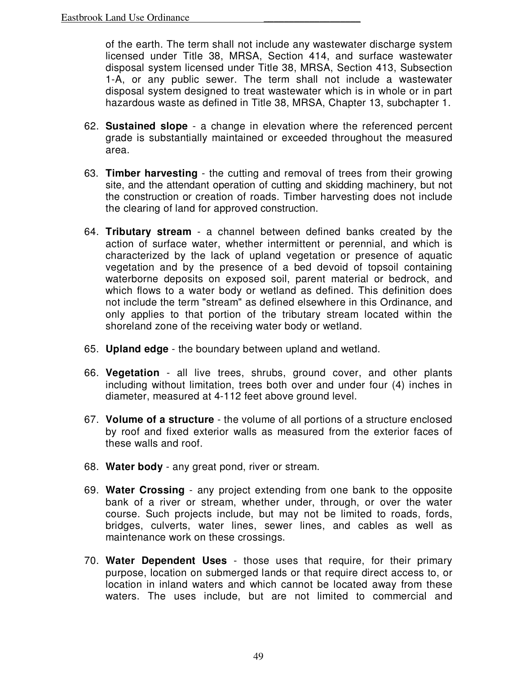of the earth. The term shall not include any wastewater discharge system licensed under Title 38, MRSA, Section 414, and surface wastewater disposal system licensed under Title 38, MRSA, Section 413, Subsection 1-A, or any public sewer. The term shall not include a wastewater disposal system designed to treat wastewater which is in whole or in part hazardous waste as defined in Title 38, MRSA, Chapter 13, subchapter 1.

- 62. **Sustained slope**  a change in elevation where the referenced percent grade is substantially maintained or exceeded throughout the measured area.
- 63. **Timber harvesting**  the cutting and removal of trees from their growing site, and the attendant operation of cutting and skidding machinery, but not the construction or creation of roads. Timber harvesting does not include the clearing of land for approved construction.
- 64. **Tributary stream**  a channel between defined banks created by the action of surface water, whether intermittent or perennial, and which is characterized by the lack of upland vegetation or presence of aquatic vegetation and by the presence of a bed devoid of topsoil containing waterborne deposits on exposed soil, parent material or bedrock, and which flows to a water body or wetland as defined. This definition does not include the term "stream" as defined elsewhere in this Ordinance, and only applies to that portion of the tributary stream located within the shoreland zone of the receiving water body or wetland.
- 65. **Upland edge**  the boundary between upland and wetland.
- 66. **Vegetation**  all live trees, shrubs, ground cover, and other plants including without limitation, trees both over and under four (4) inches in diameter, measured at 4-112 feet above ground level.
- 67. **Volume of a structure**  the volume of all portions of a structure enclosed by roof and fixed exterior walls as measured from the exterior faces of these walls and roof.
- 68. **Water body**  any great pond, river or stream.
- 69. **Water Crossing**  any project extending from one bank to the opposite bank of a river or stream, whether under, through, or over the water course. Such projects include, but may not be limited to roads, fords, bridges, culverts, water lines, sewer lines, and cables as well as maintenance work on these crossings.
- 70. **Water Dependent Uses**  those uses that require, for their primary purpose, location on submerged lands or that require direct access to, or location in inland waters and which cannot be located away from these waters. The uses include, but are not limited to commercial and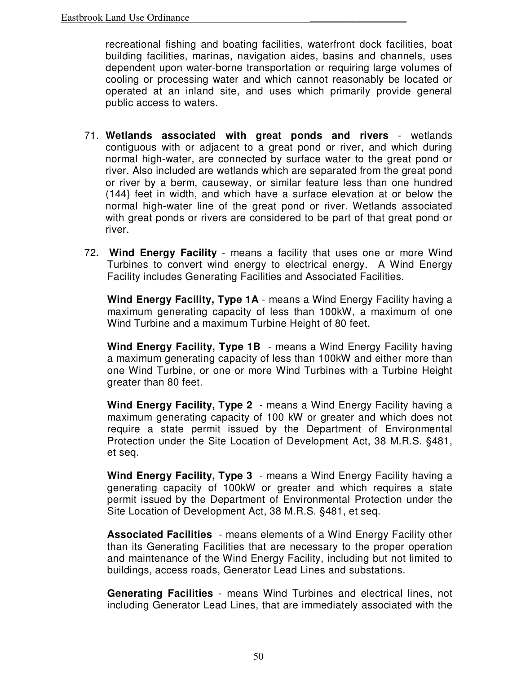recreational fishing and boating facilities, waterfront dock facilities, boat building facilities, marinas, navigation aides, basins and channels, uses dependent upon water-borne transportation or requiring large volumes of cooling or processing water and which cannot reasonably be located or operated at an inland site, and uses which primarily provide general public access to waters.

- 71. **Wetlands associated with great ponds and rivers**  wetlands contiguous with or adjacent to a great pond or river, and which during normal high-water, are connected by surface water to the great pond or river. Also included are wetlands which are separated from the great pond or river by a berm, causeway, or similar feature less than one hundred (144} feet in width, and which have a surface elevation at or below the normal high-water line of the great pond or river. Wetlands associated with great ponds or rivers are considered to be part of that great pond or river.
- 72**. Wind Energy Facility**  means a facility that uses one or more Wind Turbines to convert wind energy to electrical energy. A Wind Energy Facility includes Generating Facilities and Associated Facilities.

**Wind Energy Facility, Type 1A** - means a Wind Energy Facility having a maximum generating capacity of less than 100kW, a maximum of one Wind Turbine and a maximum Turbine Height of 80 feet.

**Wind Energy Facility, Type 1B** - means a Wind Energy Facility having a maximum generating capacity of less than 100kW and either more than one Wind Turbine, or one or more Wind Turbines with a Turbine Height greater than 80 feet.

**Wind Energy Facility, Type 2** - means a Wind Energy Facility having a maximum generating capacity of 100 kW or greater and which does not require a state permit issued by the Department of Environmental Protection under the Site Location of Development Act, 38 M.R.S. §481, et seq.

**Wind Energy Facility, Type 3** - means a Wind Energy Facility having a generating capacity of 100kW or greater and which requires a state permit issued by the Department of Environmental Protection under the Site Location of Development Act, 38 M.R.S. §481, et seq.

**Associated Facilities** - means elements of a Wind Energy Facility other than its Generating Facilities that are necessary to the proper operation and maintenance of the Wind Energy Facility, including but not limited to buildings, access roads, Generator Lead Lines and substations.

**Generating Facilities** - means Wind Turbines and electrical lines, not including Generator Lead Lines, that are immediately associated with the